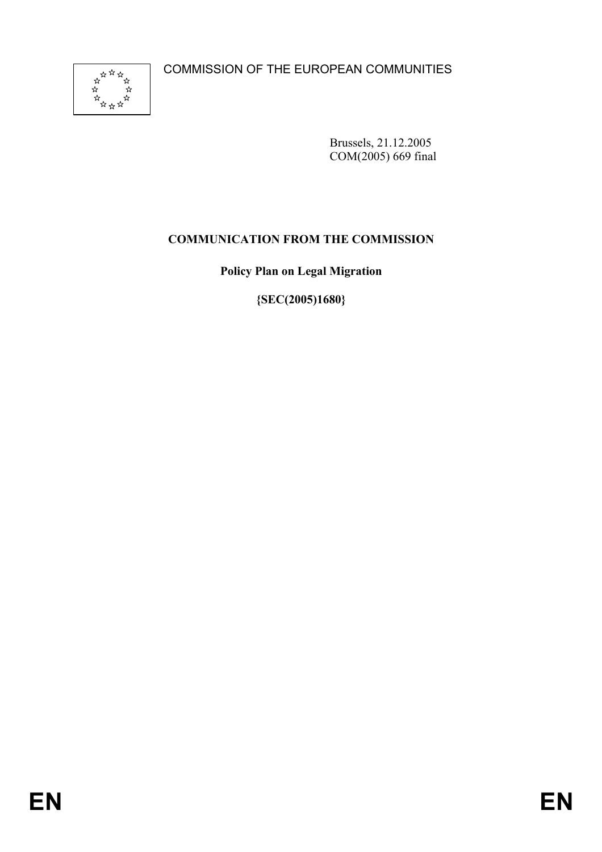COMMISSION OF THE EUROPEAN COMMUNITIES



Brussels, 21.12.2005 COM(2005) 669 final

# **COMMUNICATION FROM THE COMMISSION**

**Policy Plan on Legal Migration** 

**{SEC(2005)1680}**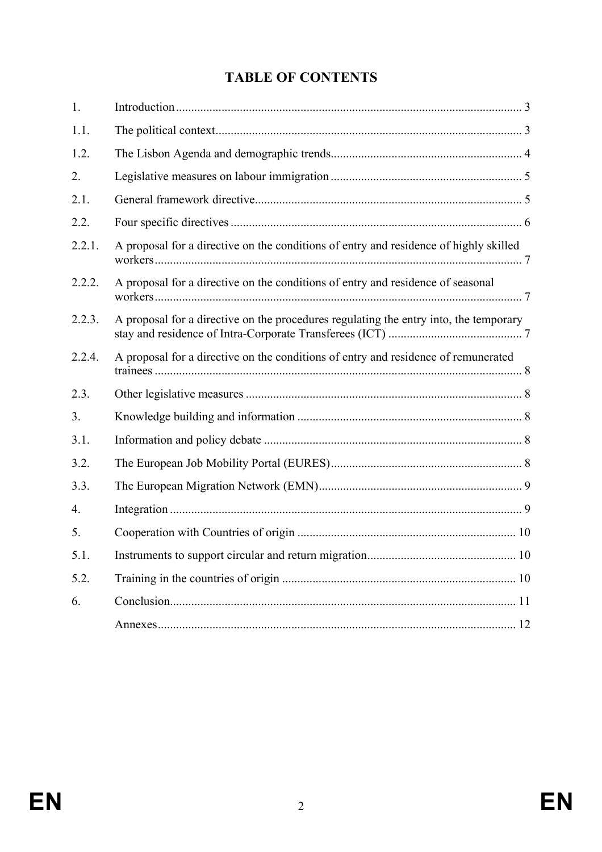# **TABLE OF CONTENTS**

| 1.     |                                                                                       |  |
|--------|---------------------------------------------------------------------------------------|--|
| 1.1.   |                                                                                       |  |
| 1.2.   |                                                                                       |  |
| 2.     |                                                                                       |  |
| 2.1.   |                                                                                       |  |
| 2.2.   |                                                                                       |  |
| 2.2.1. | A proposal for a directive on the conditions of entry and residence of highly skilled |  |
| 2.2.2. | A proposal for a directive on the conditions of entry and residence of seasonal       |  |
| 2.2.3. | A proposal for a directive on the procedures regulating the entry into, the temporary |  |
| 2.2.4. | A proposal for a directive on the conditions of entry and residence of remunerated    |  |
| 2.3.   |                                                                                       |  |
| 3.     |                                                                                       |  |
| 3.1.   |                                                                                       |  |
| 3.2.   |                                                                                       |  |
| 3.3.   |                                                                                       |  |
| 4.     |                                                                                       |  |
| 5.     |                                                                                       |  |
| 5.1.   |                                                                                       |  |
| 5.2.   |                                                                                       |  |
| 6.     |                                                                                       |  |
|        |                                                                                       |  |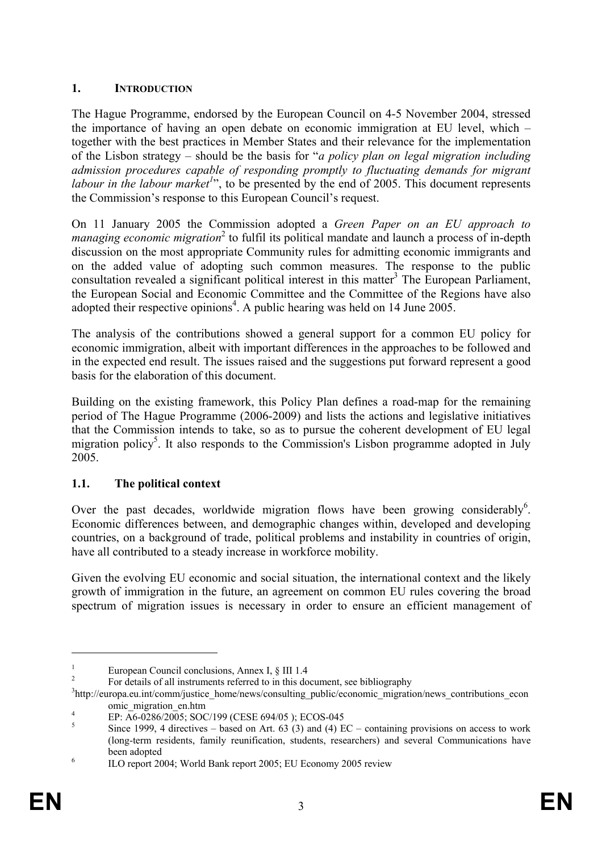### **1. INTRODUCTION**

The Hague Programme, endorsed by the European Council on 4-5 November 2004, stressed the importance of having an open debate on economic immigration at EU level, which – together with the best practices in Member States and their relevance for the implementation of the Lisbon strategy – should be the basis for "*a policy plan on legal migration including admission procedures capable of responding promptly to fluctuating demands for migrant*  labour in the labour market<sup>1</sup><sup>3</sup>, to be presented by the end of 2005. This document represents the Commission's response to this European Council's request.

On 11 January 2005 the Commission adopted a *Green Paper on an EU approach to managing economic migration*<sup>2</sup> to fulfil its political mandate and launch a process of in-depth discussion on the most appropriate Community rules for admitting economic immigrants and on the added value of adopting such common measures. The response to the public consultation revealed a significant political interest in this matter<sup>3</sup> The European Parliament, the European Social and Economic Committee and the Committee of the Regions have also adopted their respective opinions<sup>4</sup>. A public hearing was held on 14 June 2005.

The analysis of the contributions showed a general support for a common EU policy for economic immigration, albeit with important differences in the approaches to be followed and in the expected end result. The issues raised and the suggestions put forward represent a good basis for the elaboration of this document.

Building on the existing framework, this Policy Plan defines a road-map for the remaining period of The Hague Programme (2006-2009) and lists the actions and legislative initiatives that the Commission intends to take, so as to pursue the coherent development of EU legal migration policy<sup>5</sup>. It also responds to the Commission's Lisbon programme adopted in July 2005.

# **1.1. The political context**

Over the past decades, worldwide migration flows have been growing considerably<sup>6</sup>. Economic differences between, and demographic changes within, developed and developing countries, on a background of trade, political problems and instability in countries of origin, have all contributed to a steady increase in workforce mobility.

Given the evolving EU economic and social situation, the international context and the likely growth of immigration in the future, an agreement on common EU rules covering the broad spectrum of migration issues is necessary in order to ensure an efficient management of

<u>.</u>

<sup>1</sup> European Council conclusions, Annex I, § III 1.4

<sup>2</sup> For details of all instruments referred to in this document, see bibliography

<sup>&</sup>lt;sup>3</sup>http://europa.eu.int/comm/justice\_home/news/consulting\_public/economic\_migration/news\_contributions\_econ omic\_migration\_en.htm

EP: A6-0286/2005; SOC/199 (CESE 694/05 ); ECOS-045

<sup>5</sup> Since 1999, 4 directives – based on Art.  $63$  (3) and (4) EC – containing provisions on access to work (long-term residents, family reunification, students, researchers) and several Communications have been adopted<br>
<sup>6</sup><br> **H** O report 20

ILO report 2004; World Bank report 2005; EU Economy 2005 review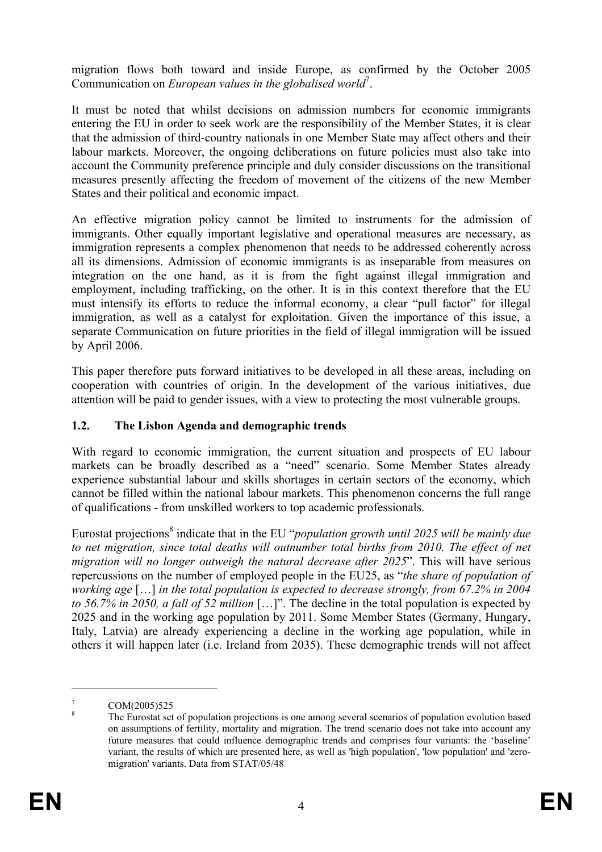migration flows both toward and inside Europe, as confirmed by the October 2005 Communication on *European values in the globalised world*<sup>7</sup>.

It must be noted that whilst decisions on admission numbers for economic immigrants entering the EU in order to seek work are the responsibility of the Member States, it is clear that the admission of third-country nationals in one Member State may affect others and their labour markets. Moreover, the ongoing deliberations on future policies must also take into account the Community preference principle and duly consider discussions on the transitional measures presently affecting the freedom of movement of the citizens of the new Member States and their political and economic impact.

An effective migration policy cannot be limited to instruments for the admission of immigrants. Other equally important legislative and operational measures are necessary, as immigration represents a complex phenomenon that needs to be addressed coherently across all its dimensions. Admission of economic immigrants is as inseparable from measures on integration on the one hand, as it is from the fight against illegal immigration and employment, including trafficking, on the other. It is in this context therefore that the EU must intensify its efforts to reduce the informal economy, a clear "pull factor" for illegal immigration, as well as a catalyst for exploitation. Given the importance of this issue, a separate Communication on future priorities in the field of illegal immigration will be issued by April 2006.

This paper therefore puts forward initiatives to be developed in all these areas, including on cooperation with countries of origin. In the development of the various initiatives, due attention will be paid to gender issues, with a view to protecting the most vulnerable groups.

### **1.2. The Lisbon Agenda and demographic trends**

With regard to economic immigration, the current situation and prospects of EU labour markets can be broadly described as a "need" scenario. Some Member States already experience substantial labour and skills shortages in certain sectors of the economy, which cannot be filled within the national labour markets. This phenomenon concerns the full range of qualifications - from unskilled workers to top academic professionals.

Eurostat projections<sup>8</sup> indicate that in the EU "*population growth until 2025 will be mainly due to net migration, since total deaths will outnumber total births from 2010. The effect of net migration will no longer outweigh the natural decrease after 2025*". This will have serious repercussions on the number of employed people in the EU25, as "*the share of population of working age* […] *in the total population is expected to decrease strongly, from 67.2% in 2004 to 56.7% in 2050, a fall of 52 million* […]". The decline in the total population is expected by 2025 and in the working age population by 2011. Some Member States (Germany, Hungary, Italy, Latvia) are already experiencing a decline in the working age population, while in others it will happen later (i.e. Ireland from 2035). These demographic trends will not affect

<u>.</u>

<sup>7</sup> COM(2005)525

<sup>8</sup> The Eurostat set of population projections is one among several scenarios of population evolution based on assumptions of fertility, mortality and migration. The trend scenario does not take into account any future measures that could influence demographic trends and comprises four variants: the 'baseline' variant, the results of which are presented here, as well as 'high population', 'low population' and 'zeromigration' variants. Data from STAT/05/48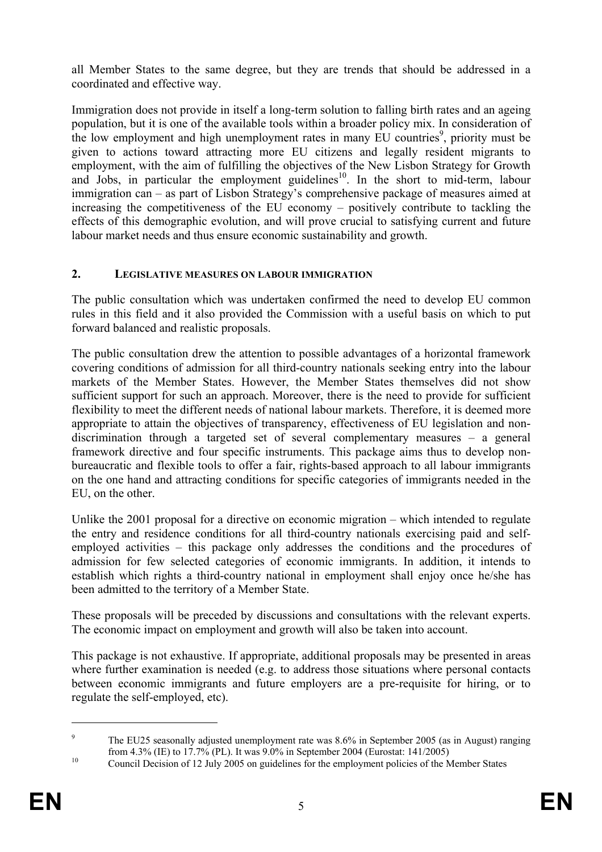all Member States to the same degree, but they are trends that should be addressed in a coordinated and effective way.

Immigration does not provide in itself a long-term solution to falling birth rates and an ageing population, but it is one of the available tools within a broader policy mix. In consideration of the low employment and high unemployment rates in many  $\overline{EU}$  countries<sup>9</sup>, priority must be given to actions toward attracting more EU citizens and legally resident migrants to employment, with the aim of fulfilling the objectives of the New Lisbon Strategy for Growth and Jobs, in particular the employment guidelines<sup>10</sup>. In the short to mid-term, labour immigration can – as part of Lisbon Strategy's comprehensive package of measures aimed at increasing the competitiveness of the EU economy – positively contribute to tackling the effects of this demographic evolution, and will prove crucial to satisfying current and future labour market needs and thus ensure economic sustainability and growth.

### **2. LEGISLATIVE MEASURES ON LABOUR IMMIGRATION**

The public consultation which was undertaken confirmed the need to develop EU common rules in this field and it also provided the Commission with a useful basis on which to put forward balanced and realistic proposals.

The public consultation drew the attention to possible advantages of a horizontal framework covering conditions of admission for all third-country nationals seeking entry into the labour markets of the Member States. However, the Member States themselves did not show sufficient support for such an approach. Moreover, there is the need to provide for sufficient flexibility to meet the different needs of national labour markets. Therefore, it is deemed more appropriate to attain the objectives of transparency, effectiveness of EU legislation and nondiscrimination through a targeted set of several complementary measures – a general framework directive and four specific instruments. This package aims thus to develop nonbureaucratic and flexible tools to offer a fair, rights-based approach to all labour immigrants on the one hand and attracting conditions for specific categories of immigrants needed in the EU, on the other.

Unlike the 2001 proposal for a directive on economic migration – which intended to regulate the entry and residence conditions for all third-country nationals exercising paid and selfemployed activities – this package only addresses the conditions and the procedures of admission for few selected categories of economic immigrants. In addition, it intends to establish which rights a third-country national in employment shall enjoy once he/she has been admitted to the territory of a Member State.

These proposals will be preceded by discussions and consultations with the relevant experts. The economic impact on employment and growth will also be taken into account.

This package is not exhaustive. If appropriate, additional proposals may be presented in areas where further examination is needed (e.g. to address those situations where personal contacts between economic immigrants and future employers are a pre-requisite for hiring, or to regulate the self-employed, etc).

<u>.</u>

<sup>9</sup> The EU25 seasonally adjusted unemployment rate was 8.6% in September 2005 (as in August) ranging from 4.3% (IE) to 17.7% (PL). It was 9.0% in September 2004 (Eurostat: 141/2005)<br><sup>10</sup> Council Decision of 12 July 2005 on guidelines for the employment policies of the Member States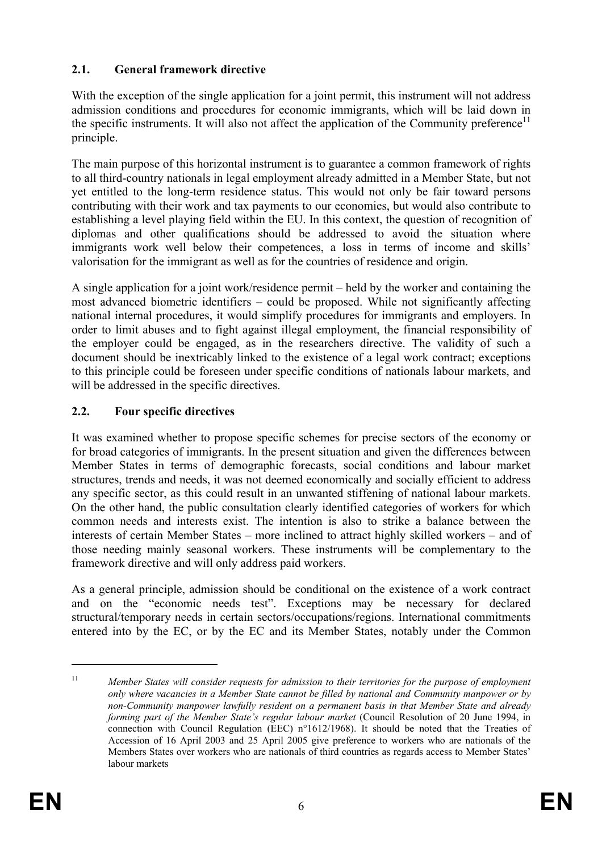## **2.1. General framework directive**

With the exception of the single application for a joint permit, this instrument will not address admission conditions and procedures for economic immigrants, which will be laid down in the specific instruments. It will also not affect the application of the Community preference<sup>11</sup> principle.

The main purpose of this horizontal instrument is to guarantee a common framework of rights to all third-country nationals in legal employment already admitted in a Member State, but not yet entitled to the long-term residence status. This would not only be fair toward persons contributing with their work and tax payments to our economies, but would also contribute to establishing a level playing field within the EU. In this context, the question of recognition of diplomas and other qualifications should be addressed to avoid the situation where immigrants work well below their competences, a loss in terms of income and skills' valorisation for the immigrant as well as for the countries of residence and origin.

A single application for a joint work/residence permit – held by the worker and containing the most advanced biometric identifiers – could be proposed. While not significantly affecting national internal procedures, it would simplify procedures for immigrants and employers. In order to limit abuses and to fight against illegal employment, the financial responsibility of the employer could be engaged, as in the researchers directive. The validity of such a document should be inextricably linked to the existence of a legal work contract; exceptions to this principle could be foreseen under specific conditions of nationals labour markets, and will be addressed in the specific directives.

# **2.2. Four specific directives**

It was examined whether to propose specific schemes for precise sectors of the economy or for broad categories of immigrants. In the present situation and given the differences between Member States in terms of demographic forecasts, social conditions and labour market structures, trends and needs, it was not deemed economically and socially efficient to address any specific sector, as this could result in an unwanted stiffening of national labour markets. On the other hand, the public consultation clearly identified categories of workers for which common needs and interests exist. The intention is also to strike a balance between the interests of certain Member States – more inclined to attract highly skilled workers – and of those needing mainly seasonal workers. These instruments will be complementary to the framework directive and will only address paid workers.

As a general principle, admission should be conditional on the existence of a work contract and on the "economic needs test". Exceptions may be necessary for declared structural/temporary needs in certain sectors/occupations/regions. International commitments entered into by the EC, or by the EC and its Member States, notably under the Common

<sup>11</sup> *Member States will consider requests for admission to their territories for the purpose of employment only where vacancies in a Member State cannot be filled by national and Community manpower or by non-Community manpower lawfully resident on a permanent basis in that Member State and already forming part of the Member State's regular labour market* (Council Resolution of 20 June 1994, in connection with Council Regulation (EEC) n°1612/1968). It should be noted that the Treaties of Accession of 16 April 2003 and 25 April 2005 give preference to workers who are nationals of the Members States over workers who are nationals of third countries as regards access to Member States' labour markets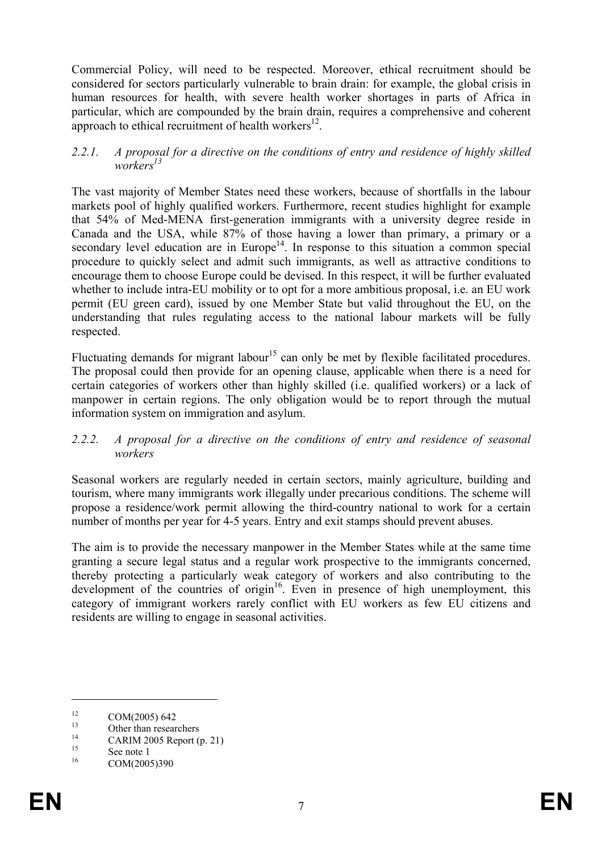Commercial Policy, will need to be respected. Moreover, ethical recruitment should be considered for sectors particularly vulnerable to brain drain: for example, the global crisis in human resources for health, with severe health worker shortages in parts of Africa in particular, which are compounded by the brain drain, requires a comprehensive and coherent approach to ethical recruitment of health workers<sup>12</sup>.

#### *2.2.1. A proposal for a directive on the conditions of entry and residence of highly skilled workers13*

The vast majority of Member States need these workers, because of shortfalls in the labour markets pool of highly qualified workers. Furthermore, recent studies highlight for example that 54% of Med-MENA first-generation immigrants with a university degree reside in Canada and the USA, while 87% of those having a lower than primary, a primary or a secondary level education are in Europe<sup>14</sup>. In response to this situation a common special procedure to quickly select and admit such immigrants, as well as attractive conditions to encourage them to choose Europe could be devised. In this respect, it will be further evaluated whether to include intra-EU mobility or to opt for a more ambitious proposal, i.e. an EU work permit (EU green card), issued by one Member State but valid throughout the EU, on the understanding that rules regulating access to the national labour markets will be fully respected.

Fluctuating demands for migrant labour<sup>15</sup> can only be met by flexible facilitated procedures. The proposal could then provide for an opening clause, applicable when there is a need for certain categories of workers other than highly skilled (i.e. qualified workers) or a lack of manpower in certain regions. The only obligation would be to report through the mutual information system on immigration and asylum.

#### *2.2.2. A proposal for a directive on the conditions of entry and residence of seasonal workers*

Seasonal workers are regularly needed in certain sectors, mainly agriculture, building and tourism, where many immigrants work illegally under precarious conditions. The scheme will propose a residence/work permit allowing the third-country national to work for a certain number of months per year for 4-5 years. Entry and exit stamps should prevent abuses.

The aim is to provide the necessary manpower in the Member States while at the same time granting a secure legal status and a regular work prospective to the immigrants concerned, thereby protecting a particularly weak category of workers and also contributing to the development of the countries of origin $16$ . Even in presence of high unemployment, this category of immigrant workers rarely conflict with EU workers as few EU citizens and residents are willing to engage in seasonal activities.

<sup>&</sup>lt;sup>12</sup> COM(2005) 642<br>
Other than researchers

 $^{14}$  CARIM 2005 Report (p. 21)

<sup>&</sup>lt;sup>15</sup> See note 1<br><sup>16</sup> COM(200

COM(2005)390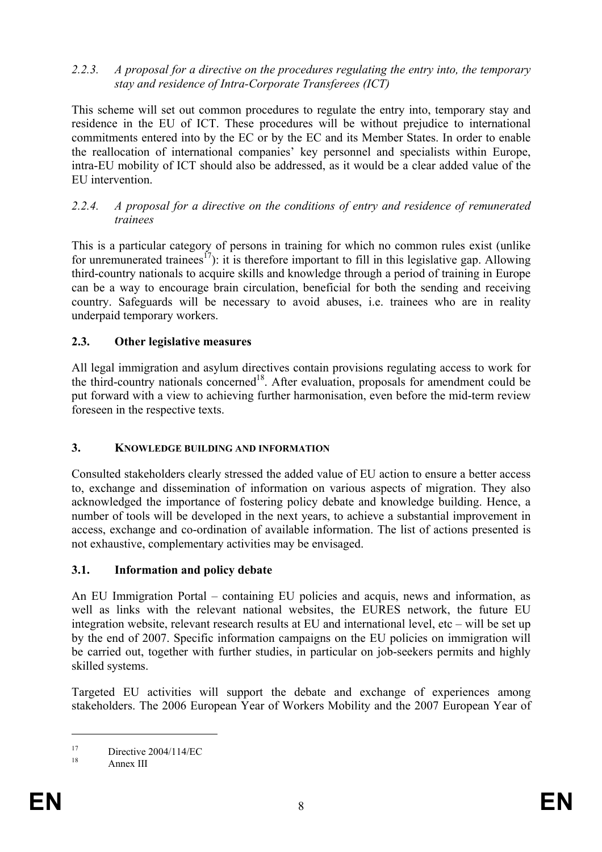#### *2.2.3. A proposal for a directive on the procedures regulating the entry into, the temporary stay and residence of Intra-Corporate Transferees (ICT)*

This scheme will set out common procedures to regulate the entry into, temporary stay and residence in the EU of ICT. These procedures will be without prejudice to international commitments entered into by the EC or by the EC and its Member States. In order to enable the reallocation of international companies' key personnel and specialists within Europe, intra-EU mobility of ICT should also be addressed, as it would be a clear added value of the EU intervention.

#### *2.2.4. A proposal for a directive on the conditions of entry and residence of remunerated trainees*

This is a particular category of persons in training for which no common rules exist (unlike for unremunerated trainees<sup>17</sup>): it is therefore important to fill in this legislative gap. Allowing third-country nationals to acquire skills and knowledge through a period of training in Europe can be a way to encourage brain circulation, beneficial for both the sending and receiving country. Safeguards will be necessary to avoid abuses, i.e. trainees who are in reality underpaid temporary workers.

# **2.3. Other legislative measures**

All legal immigration and asylum directives contain provisions regulating access to work for the third-country nationals concerned<sup>18</sup>. After evaluation, proposals for amendment could be put forward with a view to achieving further harmonisation, even before the mid-term review foreseen in the respective texts.

#### **3. KNOWLEDGE BUILDING AND INFORMATION**

Consulted stakeholders clearly stressed the added value of EU action to ensure a better access to, exchange and dissemination of information on various aspects of migration. They also acknowledged the importance of fostering policy debate and knowledge building. Hence, a number of tools will be developed in the next years, to achieve a substantial improvement in access, exchange and co-ordination of available information. The list of actions presented is not exhaustive, complementary activities may be envisaged.

# **3.1. Information and policy debate**

An EU Immigration Portal – containing EU policies and acquis, news and information, as well as links with the relevant national websites, the EURES network, the future EU integration website, relevant research results at EU and international level, etc – will be set up by the end of 2007. Specific information campaigns on the EU policies on immigration will be carried out, together with further studies, in particular on job-seekers permits and highly skilled systems.

Targeted EU activities will support the debate and exchange of experiences among stakeholders. The 2006 European Year of Workers Mobility and the 2007 European Year of

 $17 \text{ Directive } 2004/114/\text{EC}$ 

Annex III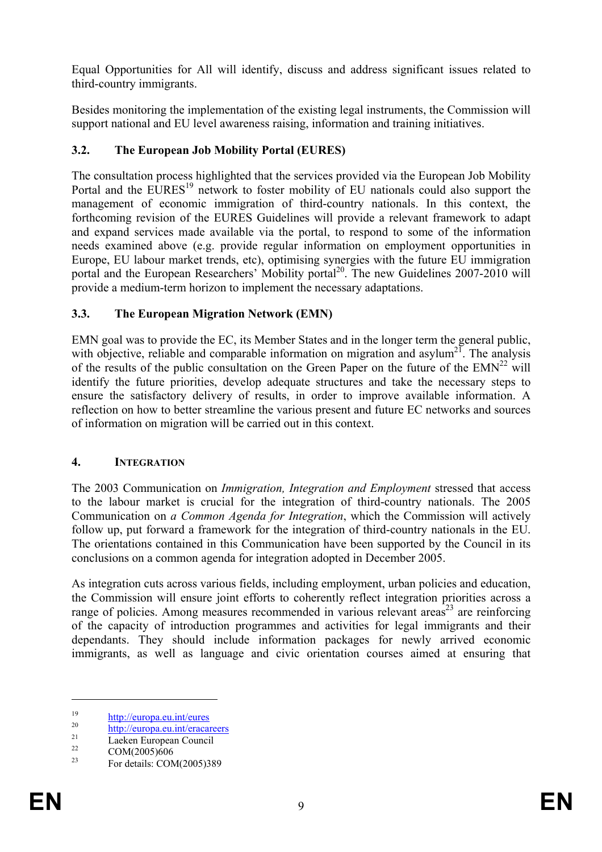Equal Opportunities for All will identify, discuss and address significant issues related to third-country immigrants.

Besides monitoring the implementation of the existing legal instruments, the Commission will support national and EU level awareness raising, information and training initiatives.

### **3.2. The European Job Mobility Portal (EURES)**

The consultation process highlighted that the services provided via the European Job Mobility Portal and the EURES<sup>19</sup> network to foster mobility of EU nationals could also support the management of economic immigration of third-country nationals. In this context, the forthcoming revision of the EURES Guidelines will provide a relevant framework to adapt and expand services made available via the portal, to respond to some of the information needs examined above (e.g. provide regular information on employment opportunities in Europe, EU labour market trends, etc), optimising synergies with the future EU immigration portal and the European Researchers' Mobility portal<sup>20</sup>. The new Guidelines 2007-2010 will provide a medium-term horizon to implement the necessary adaptations.

### **3.3. The European Migration Network (EMN)**

EMN goal was to provide the EC, its Member States and in the longer term the general public, with objective, reliable and comparable information on migration and asylum<sup>21</sup>. The analysis of the results of the public consultation on the Green Paper on the future of the  $EMN<sup>22</sup>$  will identify the future priorities, develop adequate structures and take the necessary steps to ensure the satisfactory delivery of results, in order to improve available information. A reflection on how to better streamline the various present and future EC networks and sources of information on migration will be carried out in this context.

#### **4. INTEGRATION**

The 2003 Communication on *Immigration, Integration and Employment* stressed that access to the labour market is crucial for the integration of third-country nationals. The 2005 Communication on *a Common Agenda for Integration*, which the Commission will actively follow up, put forward a framework for the integration of third-country nationals in the EU. The orientations contained in this Communication have been supported by the Council in its conclusions on a common agenda for integration adopted in December 2005.

As integration cuts across various fields, including employment, urban policies and education, the Commission will ensure joint efforts to coherently reflect integration priorities across a range of policies. Among measures recommended in various relevant areas<sup>23</sup> are reinforcing of the capacity of introduction programmes and activities for legal immigrants and their dependants. They should include information packages for newly arrived economic immigrants, as well as language and civic orientation courses aimed at ensuring that

<sup>&</sup>lt;sup>19</sup> http://europa.eu.int/eures<br>
<sup>20</sup> http://europa.eu.int/eracareers<br>
<sup>21</sup> Laeken European Council

 $\frac{22}{23}$  COM(2005)606

For details: COM(2005)389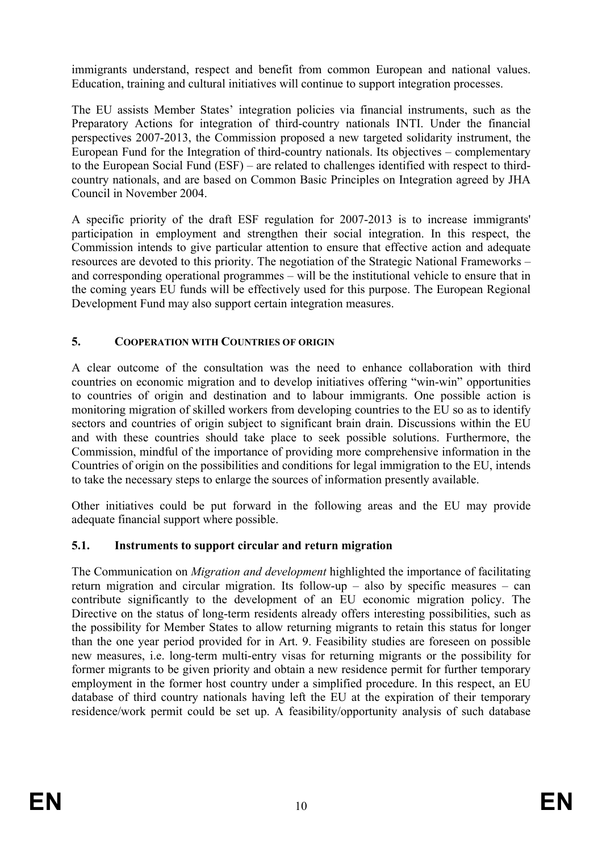immigrants understand, respect and benefit from common European and national values. Education, training and cultural initiatives will continue to support integration processes.

The EU assists Member States' integration policies via financial instruments, such as the Preparatory Actions for integration of third-country nationals INTI. Under the financial perspectives 2007-2013, the Commission proposed a new targeted solidarity instrument, the European Fund for the Integration of third-country nationals. Its objectives – complementary to the European Social Fund (ESF) – are related to challenges identified with respect to thirdcountry nationals, and are based on Common Basic Principles on Integration agreed by JHA Council in November 2004.

A specific priority of the draft ESF regulation for 2007-2013 is to increase immigrants' participation in employment and strengthen their social integration. In this respect, the Commission intends to give particular attention to ensure that effective action and adequate resources are devoted to this priority. The negotiation of the Strategic National Frameworks – and corresponding operational programmes – will be the institutional vehicle to ensure that in the coming years EU funds will be effectively used for this purpose. The European Regional Development Fund may also support certain integration measures.

# **5. COOPERATION WITH COUNTRIES OF ORIGIN**

A clear outcome of the consultation was the need to enhance collaboration with third countries on economic migration and to develop initiatives offering "win-win" opportunities to countries of origin and destination and to labour immigrants. One possible action is monitoring migration of skilled workers from developing countries to the EU so as to identify sectors and countries of origin subject to significant brain drain. Discussions within the EU and with these countries should take place to seek possible solutions. Furthermore, the Commission, mindful of the importance of providing more comprehensive information in the Countries of origin on the possibilities and conditions for legal immigration to the EU, intends to take the necessary steps to enlarge the sources of information presently available.

Other initiatives could be put forward in the following areas and the EU may provide adequate financial support where possible.

# **5.1. Instruments to support circular and return migration**

The Communication on *Migration and development* highlighted the importance of facilitating return migration and circular migration. Its follow-up – also by specific measures – can contribute significantly to the development of an EU economic migration policy. The Directive on the status of long-term residents already offers interesting possibilities, such as the possibility for Member States to allow returning migrants to retain this status for longer than the one year period provided for in Art. 9. Feasibility studies are foreseen on possible new measures, i.e. long-term multi-entry visas for returning migrants or the possibility for former migrants to be given priority and obtain a new residence permit for further temporary employment in the former host country under a simplified procedure. In this respect, an EU database of third country nationals having left the EU at the expiration of their temporary residence/work permit could be set up. A feasibility/opportunity analysis of such database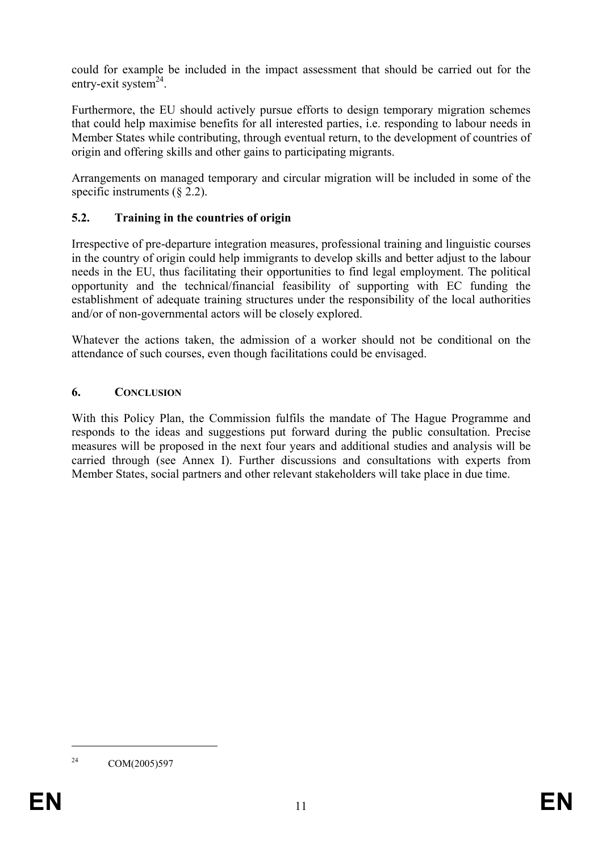could for example be included in the impact assessment that should be carried out for the entry-exit system $^{24}$ .

Furthermore, the EU should actively pursue efforts to design temporary migration schemes that could help maximise benefits for all interested parties, i.e. responding to labour needs in Member States while contributing, through eventual return, to the development of countries of origin and offering skills and other gains to participating migrants.

Arrangements on managed temporary and circular migration will be included in some of the specific instruments (§ 2.2).

### **5.2. Training in the countries of origin**

Irrespective of pre-departure integration measures, professional training and linguistic courses in the country of origin could help immigrants to develop skills and better adjust to the labour needs in the EU, thus facilitating their opportunities to find legal employment. The political opportunity and the technical/financial feasibility of supporting with EC funding the establishment of adequate training structures under the responsibility of the local authorities and/or of non-governmental actors will be closely explored.

Whatever the actions taken, the admission of a worker should not be conditional on the attendance of such courses, even though facilitations could be envisaged.

### **6. CONCLUSION**

With this Policy Plan, the Commission fulfils the mandate of The Hague Programme and responds to the ideas and suggestions put forward during the public consultation. Precise measures will be proposed in the next four years and additional studies and analysis will be carried through (see Annex I). Further discussions and consultations with experts from Member States, social partners and other relevant stakeholders will take place in due time.

<sup>&</sup>lt;sup>24</sup> COM(2005)597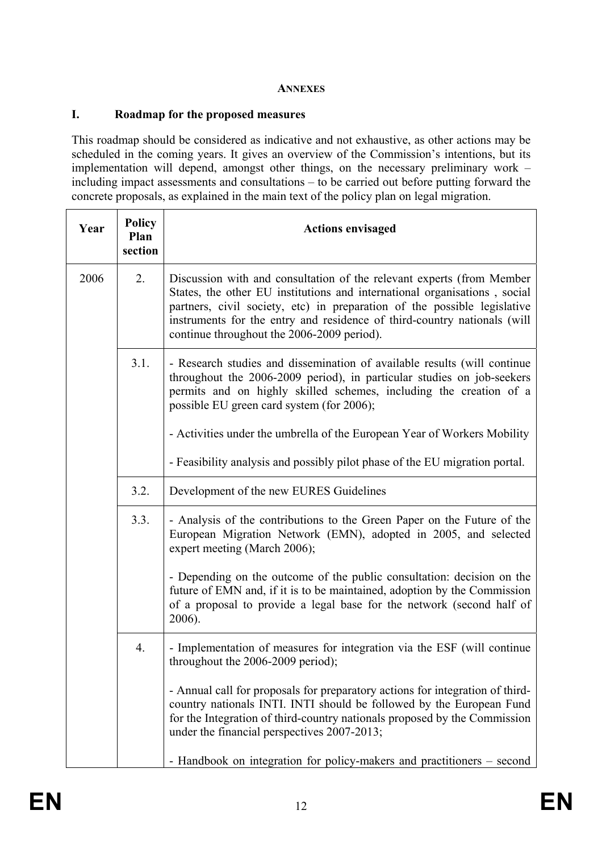#### **ANNEXES**

#### **I. Roadmap for the proposed measures**

This roadmap should be considered as indicative and not exhaustive, as other actions may be scheduled in the coming years. It gives an overview of the Commission's intentions, but its implementation will depend, amongst other things, on the necessary preliminary work – including impact assessments and consultations – to be carried out before putting forward the concrete proposals, as explained in the main text of the policy plan on legal migration.

| Year | <b>Policy</b><br>Plan<br>section | <b>Actions envisaged</b>                                                                                                                                                                                                                                                                                                                                 |
|------|----------------------------------|----------------------------------------------------------------------------------------------------------------------------------------------------------------------------------------------------------------------------------------------------------------------------------------------------------------------------------------------------------|
| 2006 | 2.                               | Discussion with and consultation of the relevant experts (from Member<br>States, the other EU institutions and international organisations, social<br>partners, civil society, etc) in preparation of the possible legislative<br>instruments for the entry and residence of third-country nationals (will<br>continue throughout the 2006-2009 period). |
|      | 3.1.                             | - Research studies and dissemination of available results (will continue<br>throughout the 2006-2009 period), in particular studies on job-seekers<br>permits and on highly skilled schemes, including the creation of a<br>possible EU green card system (for 2006);                                                                                    |
|      |                                  | - Activities under the umbrella of the European Year of Workers Mobility                                                                                                                                                                                                                                                                                 |
|      |                                  | - Feasibility analysis and possibly pilot phase of the EU migration portal.                                                                                                                                                                                                                                                                              |
|      | 3.2.                             | Development of the new EURES Guidelines                                                                                                                                                                                                                                                                                                                  |
|      | 3.3.                             | - Analysis of the contributions to the Green Paper on the Future of the<br>European Migration Network (EMN), adopted in 2005, and selected<br>expert meeting (March 2006);                                                                                                                                                                               |
|      |                                  | - Depending on the outcome of the public consultation: decision on the<br>future of EMN and, if it is to be maintained, adoption by the Commission<br>of a proposal to provide a legal base for the network (second half of<br>2006).                                                                                                                    |
|      | 4.                               | - Implementation of measures for integration via the ESF (will continue<br>throughout the $2006-2009$ period);                                                                                                                                                                                                                                           |
|      |                                  | - Annual call for proposals for preparatory actions for integration of third-<br>country nationals INTI. INTI should be followed by the European Fund<br>for the Integration of third-country nationals proposed by the Commission<br>under the financial perspectives 2007-2013;                                                                        |
|      |                                  | - Handbook on integration for policy-makers and practitioners – second                                                                                                                                                                                                                                                                                   |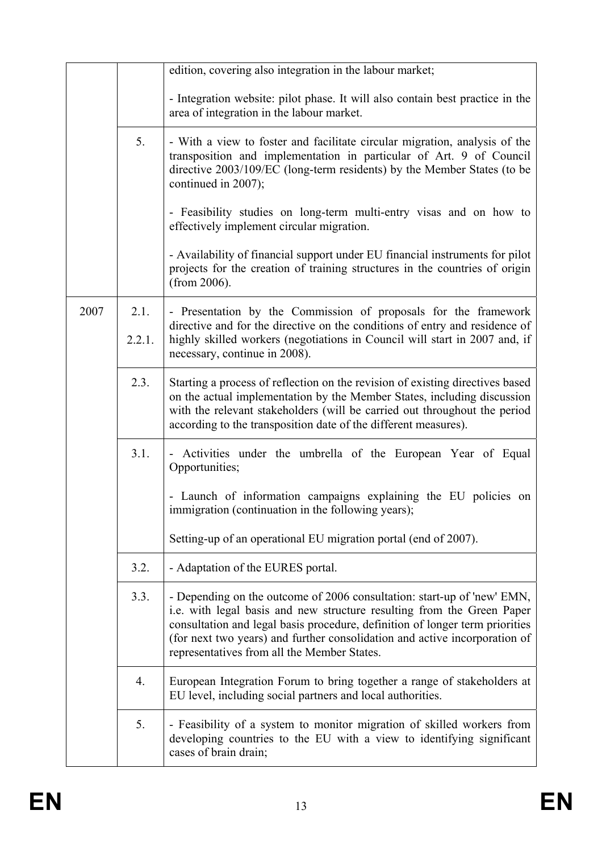|      |        | edition, covering also integration in the labour market;                                                                                                                                                                                                                                                                                                       |
|------|--------|----------------------------------------------------------------------------------------------------------------------------------------------------------------------------------------------------------------------------------------------------------------------------------------------------------------------------------------------------------------|
|      |        |                                                                                                                                                                                                                                                                                                                                                                |
|      |        | - Integration website: pilot phase. It will also contain best practice in the<br>area of integration in the labour market.                                                                                                                                                                                                                                     |
|      | 5.     | - With a view to foster and facilitate circular migration, analysis of the<br>transposition and implementation in particular of Art. 9 of Council<br>directive 2003/109/EC (long-term residents) by the Member States (to be<br>continued in 2007);                                                                                                            |
|      |        | - Feasibility studies on long-term multi-entry visas and on how to<br>effectively implement circular migration.                                                                                                                                                                                                                                                |
|      |        | - Availability of financial support under EU financial instruments for pilot<br>projects for the creation of training structures in the countries of origin<br>(from 2006).                                                                                                                                                                                    |
| 2007 | 2.1.   | - Presentation by the Commission of proposals for the framework                                                                                                                                                                                                                                                                                                |
|      | 2.2.1. | directive and for the directive on the conditions of entry and residence of<br>highly skilled workers (negotiations in Council will start in 2007 and, if<br>necessary, continue in 2008).                                                                                                                                                                     |
|      | 2.3.   | Starting a process of reflection on the revision of existing directives based<br>on the actual implementation by the Member States, including discussion<br>with the relevant stakeholders (will be carried out throughout the period<br>according to the transposition date of the different measures).                                                       |
|      | 3.1.   | Activities under the umbrella of the European Year of Equal<br>Opportunities;                                                                                                                                                                                                                                                                                  |
|      |        | - Launch of information campaigns explaining the EU policies on<br>immigration (continuation in the following years);                                                                                                                                                                                                                                          |
|      |        | Setting-up of an operational EU migration portal (end of 2007).                                                                                                                                                                                                                                                                                                |
|      | 3.2.   | - Adaptation of the EURES portal.                                                                                                                                                                                                                                                                                                                              |
|      | 3.3.   | - Depending on the outcome of 2006 consultation: start-up of 'new' EMN,<br>i.e. with legal basis and new structure resulting from the Green Paper<br>consultation and legal basis procedure, definition of longer term priorities<br>(for next two years) and further consolidation and active incorporation of<br>representatives from all the Member States. |
|      | 4.     | European Integration Forum to bring together a range of stakeholders at<br>EU level, including social partners and local authorities.                                                                                                                                                                                                                          |
|      | 5.     | - Feasibility of a system to monitor migration of skilled workers from<br>developing countries to the EU with a view to identifying significant<br>cases of brain drain;                                                                                                                                                                                       |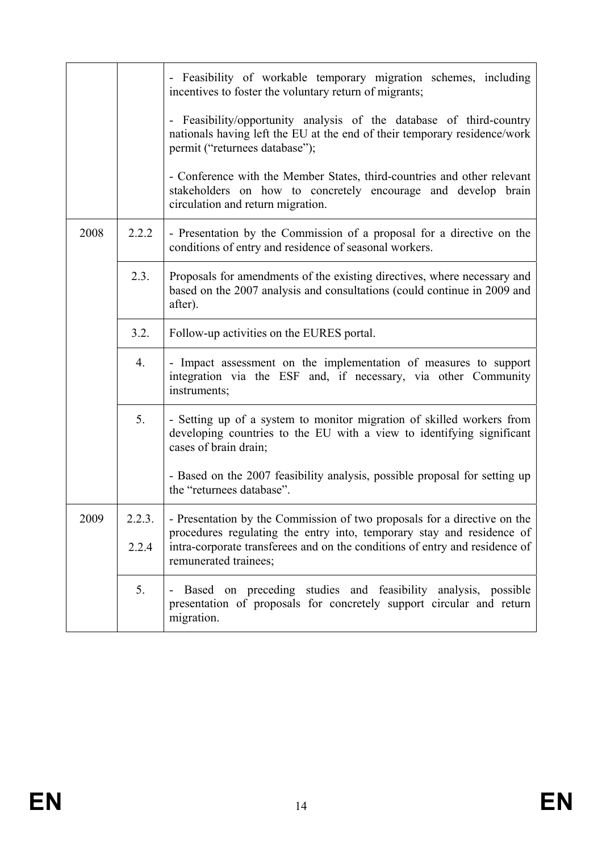|      |        | - Feasibility of workable temporary migration schemes, including<br>incentives to foster the voluntary return of migrants;                                                         |
|------|--------|------------------------------------------------------------------------------------------------------------------------------------------------------------------------------------|
|      |        | - Feasibility/opportunity analysis of the database of third-country<br>nationals having left the EU at the end of their temporary residence/work<br>permit ("returnees database"); |
|      |        | - Conference with the Member States, third-countries and other relevant<br>stakeholders on how to concretely encourage and develop brain<br>circulation and return migration.      |
| 2008 | 2.2.2  | - Presentation by the Commission of a proposal for a directive on the<br>conditions of entry and residence of seasonal workers.                                                    |
|      | 2.3.   | Proposals for amendments of the existing directives, where necessary and<br>based on the 2007 analysis and consultations (could continue in 2009 and<br>after).                    |
|      | 3.2.   | Follow-up activities on the EURES portal.                                                                                                                                          |
|      | 4.     | - Impact assessment on the implementation of measures to support<br>integration via the ESF and, if necessary, via other Community<br>instruments;                                 |
|      | 5.     | - Setting up of a system to monitor migration of skilled workers from<br>developing countries to the EU with a view to identifying significant<br>cases of brain drain;            |
|      |        | - Based on the 2007 feasibility analysis, possible proposal for setting up<br>the "returnees database".                                                                            |
| 2009 | 2.2.3. | - Presentation by the Commission of two proposals for a directive on the<br>procedures regulating the entry into, temporary stay and residence of                                  |
|      | 2.2.4  | intra-corporate transferees and on the conditions of entry and residence of<br>remunerated trainees;                                                                               |
|      | 5.     | Based on preceding studies and feasibility analysis, possible<br>presentation of proposals for concretely support circular and return<br>migration.                                |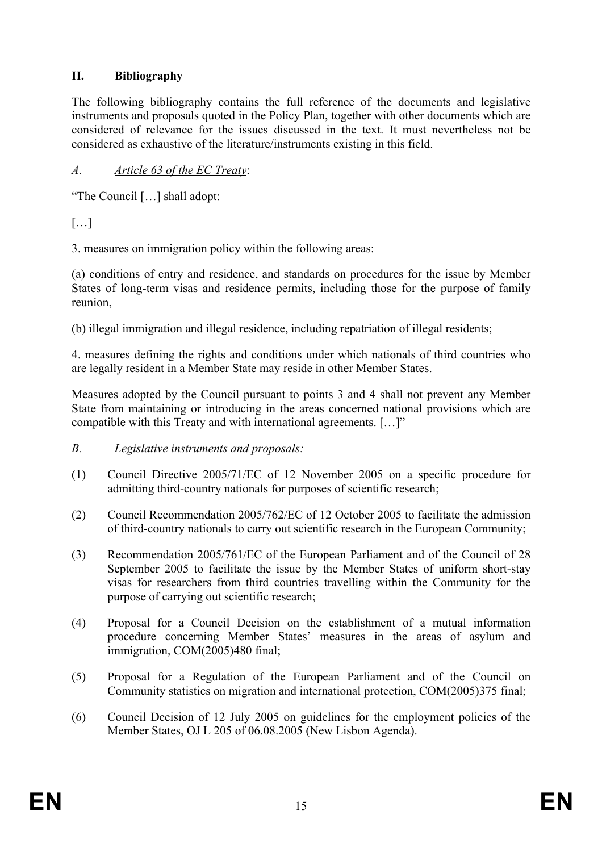# **II. Bibliography**

The following bibliography contains the full reference of the documents and legislative instruments and proposals quoted in the Policy Plan, together with other documents which are considered of relevance for the issues discussed in the text. It must nevertheless not be considered as exhaustive of the literature/instruments existing in this field.

# *A. Article 63 of the EC Treaty*:

"The Council […] shall adopt:

[…]

3. measures on immigration policy within the following areas:

(a) conditions of entry and residence, and standards on procedures for the issue by Member States of long-term visas and residence permits, including those for the purpose of family reunion,

(b) illegal immigration and illegal residence, including repatriation of illegal residents;

4. measures defining the rights and conditions under which nationals of third countries who are legally resident in a Member State may reside in other Member States.

Measures adopted by the Council pursuant to points 3 and 4 shall not prevent any Member State from maintaining or introducing in the areas concerned national provisions which are compatible with this Treaty and with international agreements. […]"

- *B. Legislative instruments and proposals:*
- (1) Council Directive 2005/71/EC of 12 November 2005 on a specific procedure for admitting third-country nationals for purposes of scientific research;
- (2) Council Recommendation 2005/762/EC of 12 October 2005 to facilitate the admission of third-country nationals to carry out scientific research in the European Community;
- (3) Recommendation 2005/761/EC of the European Parliament and of the Council of 28 September 2005 to facilitate the issue by the Member States of uniform short-stay visas for researchers from third countries travelling within the Community for the purpose of carrying out scientific research;
- (4) Proposal for a Council Decision on the establishment of a mutual information procedure concerning Member States' measures in the areas of asylum and immigration, COM(2005)480 final;
- (5) Proposal for a Regulation of the European Parliament and of the Council on Community statistics on migration and international protection, COM(2005)375 final;
- (6) Council Decision of 12 July 2005 on guidelines for the employment policies of the Member States, OJ L 205 of 06.08.2005 (New Lisbon Agenda).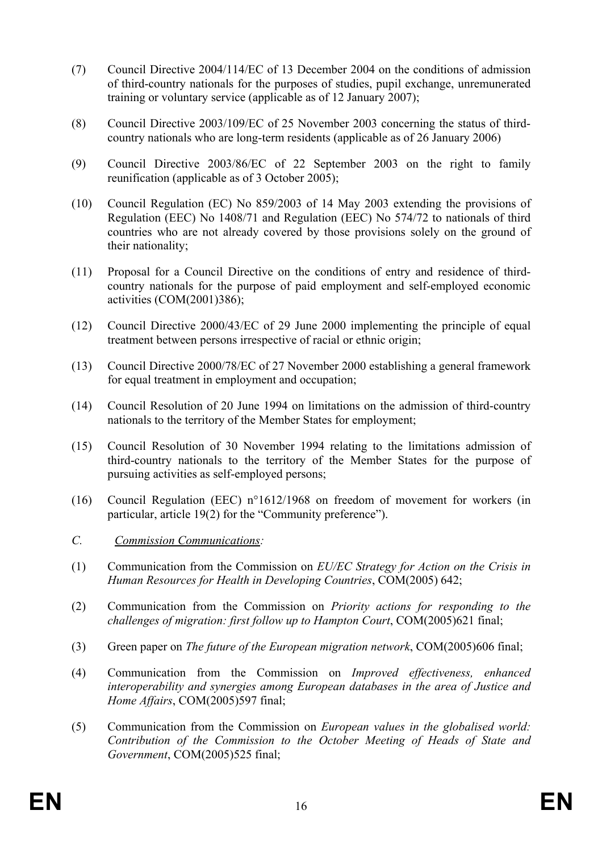- (7) Council Directive 2004/114/EC of 13 December 2004 on the conditions of admission of third-country nationals for the purposes of studies, pupil exchange, unremunerated training or voluntary service (applicable as of 12 January 2007);
- (8) Council Directive 2003/109/EC of 25 November 2003 concerning the status of thirdcountry nationals who are long-term residents (applicable as of 26 January 2006)
- (9) Council Directive 2003/86/EC of 22 September 2003 on the right to family reunification (applicable as of 3 October 2005);
- (10) Council Regulation (EC) No 859/2003 of 14 May 2003 extending the provisions of Regulation (EEC) No 1408/71 and Regulation (EEC) No 574/72 to nationals of third countries who are not already covered by those provisions solely on the ground of their nationality;
- (11) Proposal for a Council Directive on the conditions of entry and residence of thirdcountry nationals for the purpose of paid employment and self-employed economic activities (COM(2001)386);
- (12) Council Directive 2000/43/EC of 29 June 2000 implementing the principle of equal treatment between persons irrespective of racial or ethnic origin;
- (13) Council Directive 2000/78/EC of 27 November 2000 establishing a general framework for equal treatment in employment and occupation;
- (14) Council Resolution of 20 June 1994 on limitations on the admission of third-country nationals to the territory of the Member States for employment;
- (15) Council Resolution of 30 November 1994 relating to the limitations admission of third-country nationals to the territory of the Member States for the purpose of pursuing activities as self-employed persons;
- (16) Council Regulation (EEC) n°1612/1968 on freedom of movement for workers (in particular, article 19(2) for the "Community preference").
- *C. Commission Communications:*
- (1) Communication from the Commission on *EU/EC Strategy for Action on the Crisis in Human Resources for Health in Developing Countries*, COM(2005) 642;
- (2) Communication from the Commission on *Priority actions for responding to the challenges of migration: first follow up to Hampton Court*, COM(2005)621 final;
- (3) Green paper on *The future of the European migration network*, COM(2005)606 final;
- (4) Communication from the Commission on *Improved effectiveness, enhanced interoperability and synergies among European databases in the area of Justice and Home Affairs*, COM(2005)597 final;
- (5) Communication from the Commission on *European values in the globalised world: Contribution of the Commission to the October Meeting of Heads of State and Government*, COM(2005)525 final;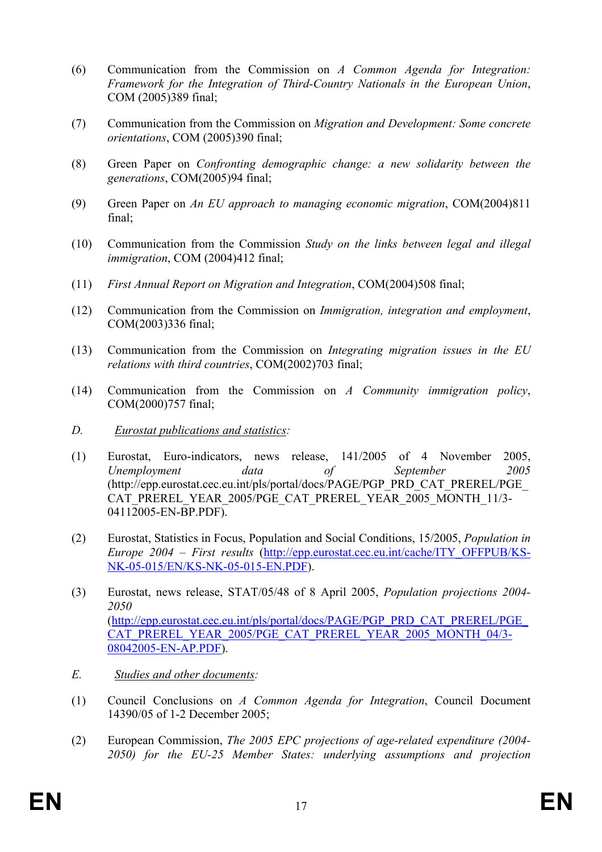- (6) Communication from the Commission on *A Common Agenda for Integration: Framework for the Integration of Third-Country Nationals in the European Union*, COM (2005)389 final;
- (7) Communication from the Commission on *Migration and Development: Some concrete orientations*, COM (2005)390 final;
- (8) Green Paper on *Confronting demographic change: a new solidarity between the generations*, COM(2005)94 final;
- (9) Green Paper on *An EU approach to managing economic migration*, COM(2004)811 final;
- (10) Communication from the Commission *Study on the links between legal and illegal immigration*, COM (2004)412 final;
- (11) *First Annual Report on Migration and Integration*, COM(2004)508 final;
- (12) Communication from the Commission on *Immigration, integration and employment*, COM(2003)336 final;
- (13) Communication from the Commission on *Integrating migration issues in the EU relations with third countries*, COM(2002)703 final;
- (14) Communication from the Commission on *A Community immigration policy*, COM(2000)757 final;
- *D. Eurostat publications and statistics:*
- (1) Eurostat, Euro-indicators, news release, 141/2005 of 4 November 2005, *Unemployment data of September 2005* (http://epp.eurostat.cec.eu.int/pls/portal/docs/PAGE/PGP\_PRD\_CAT\_PREREL/PGE\_ CAT\_PREREL\_YEAR\_2005/PGE\_CAT\_PREREL\_YEAR\_2005\_MONTH\_11/3- 04112005-EN-BP.PDF).
- (2) Eurostat, Statistics in Focus, Population and Social Conditions, 15/2005, *Population in Europe 2004 – First results* (http://epp.eurostat.cec.eu.int/cache/ITY\_OFFPUB/KS-NK-05-015/EN/KS-NK-05-015-EN.PDF).
- (3) Eurostat, news release, STAT/05/48 of 8 April 2005, *Population projections 2004- 2050* (http://epp.eurostat.cec.eu.int/pls/portal/docs/PAGE/PGP\_PRD\_CAT\_PREREL/PGE\_ CAT\_PREREL\_YEAR\_2005/PGE\_CAT\_PREREL\_YEAR\_2005\_MONTH\_04/3-08042005-EN-AP.PDF).
- *E. Studies and other documents:*
- (1) Council Conclusions on *A Common Agenda for Integration*, Council Document 14390/05 of 1-2 December 2005;
- (2) European Commission, *The 2005 EPC projections of age-related expenditure (2004- 2050) for the EU-25 Member States: underlying assumptions and projection*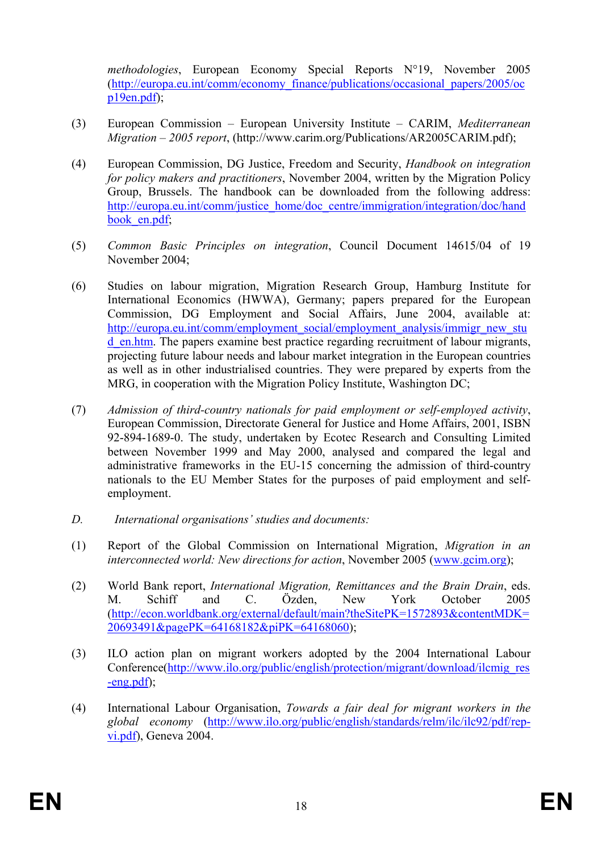*methodologies*, European Economy Special Reports N°19, November 2005 (http://europa.eu.int/comm/economy\_finance/publications/occasional\_papers/2005/oc p19en.pdf);

- (3) European Commission European University Institute CARIM, *Mediterranean Migration – 2005 report*, (http://www.carim.org/Publications/AR2005CARIM.pdf);
- (4) European Commission, DG Justice, Freedom and Security, *Handbook on integration for policy makers and practitioners*, November 2004, written by the Migration Policy Group, Brussels. The handbook can be downloaded from the following address: http://europa.eu.int/comm/justice\_home/doc\_centre/immigration/integration/doc/hand book en.pdf;
- (5) *Common Basic Principles on integration*, Council Document 14615/04 of 19 November 2004;
- (6) Studies on labour migration, Migration Research Group, Hamburg Institute for International Economics (HWWA), Germany; papers prepared for the European Commission, DG Employment and Social Affairs, June 2004, available at: http://europa.eu.int/comm/employment\_social/employment\_analysis/immigr\_new\_stu d\_en.htm. The papers examine best practice regarding recruitment of labour migrants, projecting future labour needs and labour market integration in the European countries as well as in other industrialised countries. They were prepared by experts from the MRG, in cooperation with the Migration Policy Institute, Washington DC;
- (7) *Admission of third-country nationals for paid employment or self-employed activity*, European Commission, Directorate General for Justice and Home Affairs, 2001, ISBN 92-894-1689-0. The study, undertaken by Ecotec Research and Consulting Limited between November 1999 and May 2000, analysed and compared the legal and administrative frameworks in the EU-15 concerning the admission of third-country nationals to the EU Member States for the purposes of paid employment and selfemployment.
- *D. International organisations' studies and documents:*
- (1) Report of the Global Commission on International Migration, *Migration in an interconnected world: New directions for action*, November 2005 (www.gcim.org);
- (2) World Bank report, *International Migration, Remittances and the Brain Drain*, eds. M. Schiff and C. Özden, New York October 2005 (http://econ.worldbank.org/external/default/main?theSitePK=1572893&contentMDK= 20693491&pagePK=64168182&piPK=64168060);
- (3) ILO action plan on migrant workers adopted by the 2004 International Labour Conference(http://www.ilo.org/public/english/protection/migrant/download/ilcmig\_res -eng.pdf);
- (4) International Labour Organisation, *Towards a fair deal for migrant workers in the global economy* (http://www.ilo.org/public/english/standards/relm/ilc/ilc92/pdf/repvi.pdf), Geneva 2004.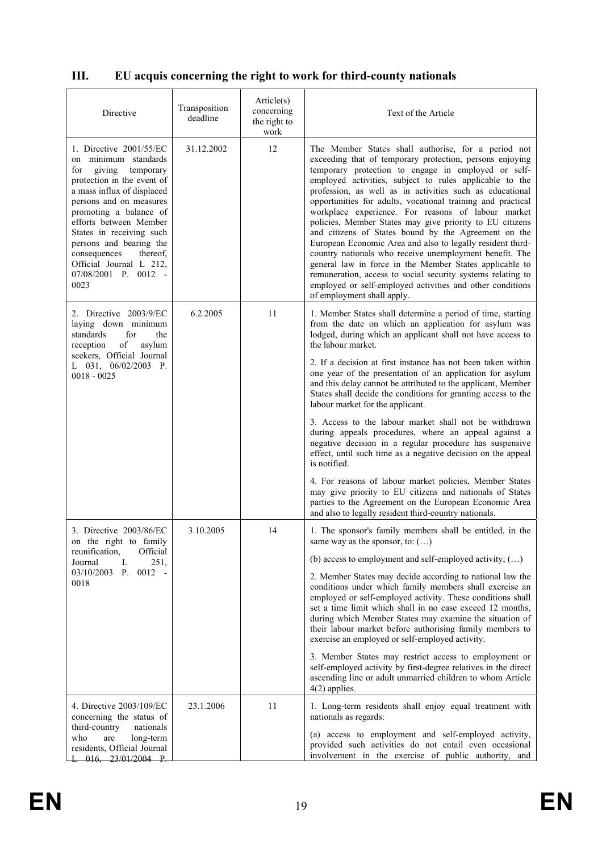# **III. EU acquis concerning the right to work for third-county nationals**

| Directive                                                                                                                                                                                                                                                                                                                                                              | Transposition<br>deadline | Article(s)<br>concerning<br>the right to<br>work | Text of the Article                                                                                                                                                                                                                                                                                                                                                                                                                                                                                                                                                                                                                                                                                                                                                                                                                                                                  |
|------------------------------------------------------------------------------------------------------------------------------------------------------------------------------------------------------------------------------------------------------------------------------------------------------------------------------------------------------------------------|---------------------------|--------------------------------------------------|--------------------------------------------------------------------------------------------------------------------------------------------------------------------------------------------------------------------------------------------------------------------------------------------------------------------------------------------------------------------------------------------------------------------------------------------------------------------------------------------------------------------------------------------------------------------------------------------------------------------------------------------------------------------------------------------------------------------------------------------------------------------------------------------------------------------------------------------------------------------------------------|
| 1. Directive 2001/55/EC<br>on minimum standards<br>giving<br>temporary<br>for<br>protection in the event of<br>a mass influx of displaced<br>persons and on measures<br>promoting a balance of<br>efforts between Member<br>States in receiving such<br>persons and bearing the<br>consequences<br>thereof.<br>Official Journal L 212,<br>07/08/2001 P. 0012 -<br>0023 | 31.12.2002                | 12                                               | The Member States shall authorise, for a period not<br>exceeding that of temporary protection, persons enjoying<br>temporary protection to engage in employed or self-<br>employed activities, subject to rules applicable to the<br>profession, as well as in activities such as educational<br>opportunities for adults, vocational training and practical<br>workplace experience. For reasons of labour market<br>policies, Member States may give priority to EU citizens<br>and citizens of States bound by the Agreement on the<br>European Economic Area and also to legally resident third-<br>country nationals who receive unemployment benefit. The<br>general law in force in the Member States applicable to<br>remuneration, access to social security systems relating to<br>employed or self-employed activities and other conditions<br>of employment shall apply. |
| 2. Directive 2003/9/EC<br>laying down minimum<br>standards<br>for<br>the<br>reception<br>of<br>asylum<br>seekers, Official Journal<br>L 031, 06/02/2003 P.<br>$0018 - 0025$                                                                                                                                                                                            | 6.2.2005                  | 11                                               | 1. Member States shall determine a period of time, starting<br>from the date on which an application for asylum was<br>lodged, during which an applicant shall not have access to<br>the labour market.<br>2. If a decision at first instance has not been taken within<br>one year of the presentation of an application for asylum<br>and this delay cannot be attributed to the applicant, Member                                                                                                                                                                                                                                                                                                                                                                                                                                                                                 |
|                                                                                                                                                                                                                                                                                                                                                                        |                           |                                                  | States shall decide the conditions for granting access to the<br>labour market for the applicant.<br>3. Access to the labour market shall not be withdrawn<br>during appeals procedures, where an appeal against a<br>negative decision in a regular procedure has suspensive<br>effect, until such time as a negative decision on the appeal<br>is notified.                                                                                                                                                                                                                                                                                                                                                                                                                                                                                                                        |
|                                                                                                                                                                                                                                                                                                                                                                        |                           |                                                  | 4. For reasons of labour market policies, Member States<br>may give priority to EU citizens and nationals of States<br>parties to the Agreement on the European Economic Area<br>and also to legally resident third-country nationals.                                                                                                                                                                                                                                                                                                                                                                                                                                                                                                                                                                                                                                               |
| 3. Directive 2003/86/EC<br>on the right to family<br>reunification.<br>Official                                                                                                                                                                                                                                                                                        | 3.10.2005                 | 14                                               | 1. The sponsor's family members shall be entitled, in the<br>same way as the sponsor, to: $()$                                                                                                                                                                                                                                                                                                                                                                                                                                                                                                                                                                                                                                                                                                                                                                                       |
| Journal<br>L<br>251,<br>03/10/2003<br>$P_{\cdot}$<br>$0012 -$<br>0018                                                                                                                                                                                                                                                                                                  |                           |                                                  | (b) access to employment and self-employed activity; $()$<br>2. Member States may decide according to national law the<br>conditions under which family members shall exercise an<br>employed or self-employed activity. These conditions shall<br>set a time limit which shall in no case exceed 12 months,<br>during which Member States may examine the situation of<br>their labour market before authorising family members to<br>exercise an employed or self-employed activity.                                                                                                                                                                                                                                                                                                                                                                                               |
|                                                                                                                                                                                                                                                                                                                                                                        |                           |                                                  | 3. Member States may restrict access to employment or<br>self-employed activity by first-degree relatives in the direct<br>ascending line or adult unmarried children to whom Article<br>$4(2)$ applies.                                                                                                                                                                                                                                                                                                                                                                                                                                                                                                                                                                                                                                                                             |
| 4. Directive 2003/109/EC<br>concerning the status of<br>third-country<br>nationals<br>are<br>long-term<br>who                                                                                                                                                                                                                                                          | 23.1.2006                 | 11                                               | 1. Long-term residents shall enjoy equal treatment with<br>nationals as regards:<br>(a) access to employment and self-employed activity,                                                                                                                                                                                                                                                                                                                                                                                                                                                                                                                                                                                                                                                                                                                                             |
| residents, Official Journal<br>016, 23/01/2004 P.                                                                                                                                                                                                                                                                                                                      |                           |                                                  | provided such activities do not entail even occasional<br>involvement in the exercise of public authority, and                                                                                                                                                                                                                                                                                                                                                                                                                                                                                                                                                                                                                                                                                                                                                                       |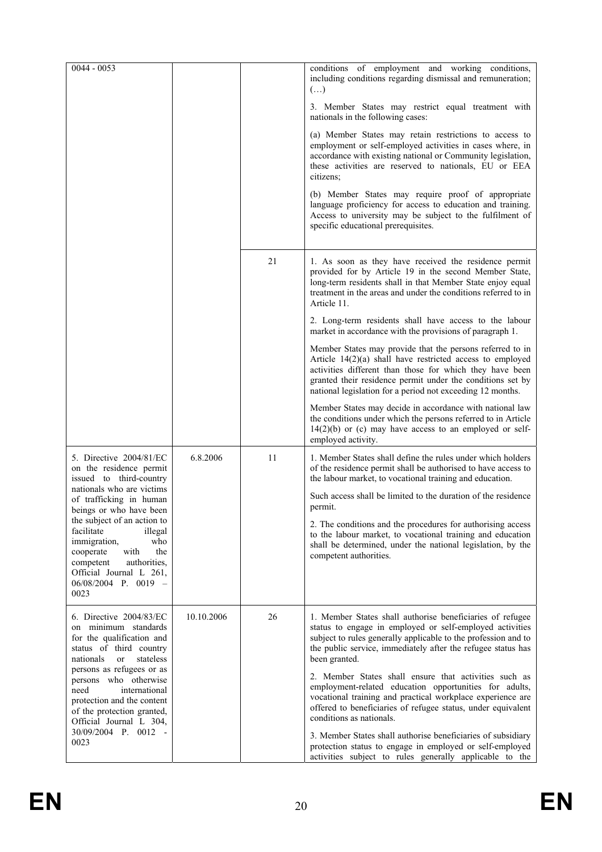| $0044 - 0053$                                                                                                                                                                                     |            |    | conditions of employment and working conditions,<br>including conditions regarding dismissal and remuneration;<br>$(\ldots)$                                                                                                                                                                                     |  |  |  |  |  |
|---------------------------------------------------------------------------------------------------------------------------------------------------------------------------------------------------|------------|----|------------------------------------------------------------------------------------------------------------------------------------------------------------------------------------------------------------------------------------------------------------------------------------------------------------------|--|--|--|--|--|
|                                                                                                                                                                                                   |            |    | 3. Member States may restrict equal treatment with<br>nationals in the following cases:                                                                                                                                                                                                                          |  |  |  |  |  |
|                                                                                                                                                                                                   |            |    | (a) Member States may retain restrictions to access to<br>employment or self-employed activities in cases where, in<br>accordance with existing national or Community legislation,<br>these activities are reserved to nationals, EU or EEA<br>citizens;                                                         |  |  |  |  |  |
|                                                                                                                                                                                                   |            |    | (b) Member States may require proof of appropriate<br>language proficiency for access to education and training.<br>Access to university may be subject to the fulfilment of<br>specific educational prerequisites.                                                                                              |  |  |  |  |  |
|                                                                                                                                                                                                   |            | 21 | 1. As soon as they have received the residence permit<br>provided for by Article 19 in the second Member State,<br>long-term residents shall in that Member State enjoy equal<br>treatment in the areas and under the conditions referred to in<br>Article 11.                                                   |  |  |  |  |  |
|                                                                                                                                                                                                   |            |    | 2. Long-term residents shall have access to the labour<br>market in accordance with the provisions of paragraph 1.                                                                                                                                                                                               |  |  |  |  |  |
|                                                                                                                                                                                                   |            |    | Member States may provide that the persons referred to in<br>Article $14(2)(a)$ shall have restricted access to employed<br>activities different than those for which they have been<br>granted their residence permit under the conditions set by<br>national legislation for a period not exceeding 12 months. |  |  |  |  |  |
|                                                                                                                                                                                                   |            |    | Member States may decide in accordance with national law<br>the conditions under which the persons referred to in Article<br>$14(2)(b)$ or (c) may have access to an employed or self-<br>employed activity.                                                                                                     |  |  |  |  |  |
| 5. Directive 2004/81/EC<br>on the residence permit<br>issued to third-country                                                                                                                     | 6.8.2006   | 11 | 1. Member States shall define the rules under which holders<br>of the residence permit shall be authorised to have access to<br>the labour market, to vocational training and education.                                                                                                                         |  |  |  |  |  |
| nationals who are victims<br>of trafficking in human<br>beings or who have been                                                                                                                   |            |    | Such access shall be limited to the duration of the residence<br>permit.                                                                                                                                                                                                                                         |  |  |  |  |  |
| the subject of an action to<br>facilitate<br>illegal<br>immigration,<br>who<br>with<br>cooperate<br>the<br>competent<br>authorities,<br>Official Journal L 261,<br>$06/08/2004$ P. 0019 -<br>0023 |            |    | 2. The conditions and the procedures for authorising access<br>to the labour market, to vocational training and education<br>shall be determined, under the national legislation, by the<br>competent authorities.                                                                                               |  |  |  |  |  |
| 6. Directive 2004/83/EC                                                                                                                                                                           | 10.10.2006 | 26 | 1. Member States shall authorise beneficiaries of refugee                                                                                                                                                                                                                                                        |  |  |  |  |  |
| on minimum standards<br>for the qualification and<br>status of third country<br>stateless<br>nationals<br><sub>or</sub>                                                                           |            |    | status to engage in employed or self-employed activities<br>subject to rules generally applicable to the profession and to<br>the public service, immediately after the refugee status has<br>been granted.                                                                                                      |  |  |  |  |  |
| persons as refugees or as<br>persons who otherwise<br>international<br>need<br>protection and the content<br>of the protection granted,<br>Official Journal L 304,                                |            |    | 2. Member States shall ensure that activities such as<br>employment-related education opportunities for adults,<br>vocational training and practical workplace experience are<br>offered to beneficiaries of refugee status, under equivalent<br>conditions as nationals.                                        |  |  |  |  |  |
| 30/09/2004 P. 0012 -<br>0023                                                                                                                                                                      |            |    | 3. Member States shall authorise beneficiaries of subsidiary<br>protection status to engage in employed or self-employed<br>activities subject to rules generally applicable to the                                                                                                                              |  |  |  |  |  |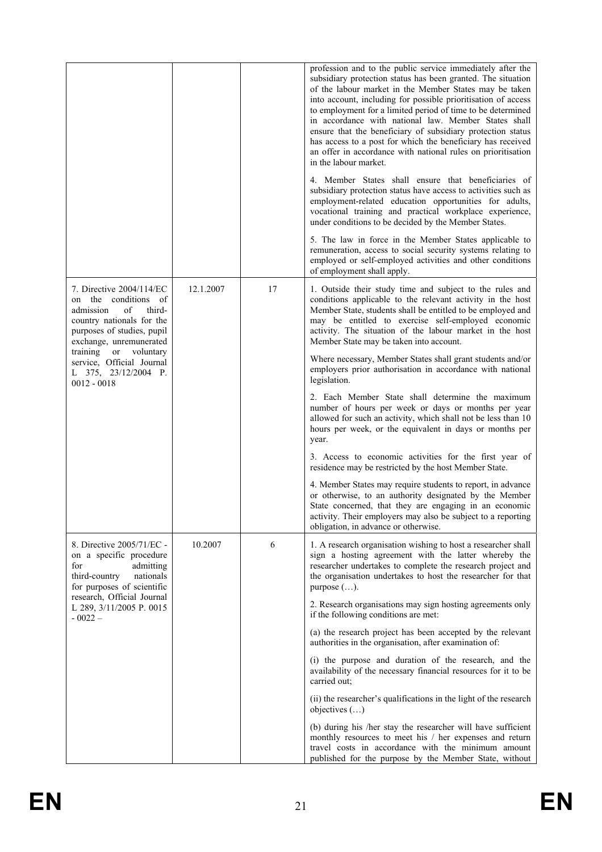|                                                                                                                                                                                                                                                         |           |    | profession and to the public service immediately after the<br>subsidiary protection status has been granted. The situation<br>of the labour market in the Member States may be taken<br>into account, including for possible prioritisation of access<br>to employment for a limited period of time to be determined<br>in accordance with national law. Member States shall<br>ensure that the beneficiary of subsidiary protection status<br>has access to a post for which the beneficiary has received<br>an offer in accordance with national rules on prioritisation<br>in the labour market.<br>4. Member States shall ensure that beneficiaries of<br>subsidiary protection status have access to activities such as<br>employment-related education opportunities for adults,<br>vocational training and practical workplace experience,<br>under conditions to be decided by the Member States.<br>5. The law in force in the Member States applicable to<br>remuneration, access to social security systems relating to<br>employed or self-employed activities and other conditions |
|---------------------------------------------------------------------------------------------------------------------------------------------------------------------------------------------------------------------------------------------------------|-----------|----|-------------------------------------------------------------------------------------------------------------------------------------------------------------------------------------------------------------------------------------------------------------------------------------------------------------------------------------------------------------------------------------------------------------------------------------------------------------------------------------------------------------------------------------------------------------------------------------------------------------------------------------------------------------------------------------------------------------------------------------------------------------------------------------------------------------------------------------------------------------------------------------------------------------------------------------------------------------------------------------------------------------------------------------------------------------------------------------------------|
| 7. Directive 2004/114/EC<br>on the conditions of<br>admission<br>οf<br>third-<br>country nationals for the<br>purposes of studies, pupil<br>exchange, unremunerated<br>training<br>or<br>voluntary<br>service, Official Journal<br>L 375, 23/12/2004 P. | 12.1.2007 | 17 | of employment shall apply.<br>1. Outside their study time and subject to the rules and<br>conditions applicable to the relevant activity in the host<br>Member State, students shall be entitled to be employed and<br>may be entitled to exercise self-employed economic<br>activity. The situation of the labour market in the host<br>Member State may be taken into account.<br>Where necessary, Member States shall grant students and/or<br>employers prior authorisation in accordance with national                                                                                                                                                                                                                                                                                                                                                                                                                                                                                                                                                                                     |
| $0012 - 0018$                                                                                                                                                                                                                                           |           |    | legislation.<br>2. Each Member State shall determine the maximum<br>number of hours per week or days or months per year<br>allowed for such an activity, which shall not be less than 10<br>hours per week, or the equivalent in days or months per<br>year.                                                                                                                                                                                                                                                                                                                                                                                                                                                                                                                                                                                                                                                                                                                                                                                                                                    |
|                                                                                                                                                                                                                                                         |           |    | 3. Access to economic activities for the first year of<br>residence may be restricted by the host Member State.                                                                                                                                                                                                                                                                                                                                                                                                                                                                                                                                                                                                                                                                                                                                                                                                                                                                                                                                                                                 |
|                                                                                                                                                                                                                                                         |           |    | 4. Member States may require students to report, in advance<br>or otherwise, to an authority designated by the Member<br>State concerned, that they are engaging in an economic<br>activity. Their employers may also be subject to a reporting<br>obligation, in advance or otherwise.                                                                                                                                                                                                                                                                                                                                                                                                                                                                                                                                                                                                                                                                                                                                                                                                         |
| 8. Directive 2005/71/EC -<br>on a specific procedure<br>for<br>admitting<br>third-country<br>nationals<br>for purposes of scientific                                                                                                                    | 10.2007   | 6  | 1. A research organisation wishing to host a researcher shall<br>sign a hosting agreement with the latter whereby the<br>researcher undertakes to complete the research project and<br>the organisation undertakes to host the researcher for that<br>purpose $(\ldots)$ .                                                                                                                                                                                                                                                                                                                                                                                                                                                                                                                                                                                                                                                                                                                                                                                                                      |
| research, Official Journal<br>L 289, 3/11/2005 P. 0015<br>$-0022-$                                                                                                                                                                                      |           |    | 2. Research organisations may sign hosting agreements only<br>if the following conditions are met:                                                                                                                                                                                                                                                                                                                                                                                                                                                                                                                                                                                                                                                                                                                                                                                                                                                                                                                                                                                              |
|                                                                                                                                                                                                                                                         |           |    | (a) the research project has been accepted by the relevant<br>authorities in the organisation, after examination of:                                                                                                                                                                                                                                                                                                                                                                                                                                                                                                                                                                                                                                                                                                                                                                                                                                                                                                                                                                            |
|                                                                                                                                                                                                                                                         |           |    | (i) the purpose and duration of the research, and the<br>availability of the necessary financial resources for it to be<br>carried out;                                                                                                                                                                                                                                                                                                                                                                                                                                                                                                                                                                                                                                                                                                                                                                                                                                                                                                                                                         |
|                                                                                                                                                                                                                                                         |           |    | (ii) the researcher's qualifications in the light of the research<br>objectives $(\ldots)$                                                                                                                                                                                                                                                                                                                                                                                                                                                                                                                                                                                                                                                                                                                                                                                                                                                                                                                                                                                                      |
|                                                                                                                                                                                                                                                         |           |    | (b) during his /her stay the researcher will have sufficient<br>monthly resources to meet his / her expenses and return<br>travel costs in accordance with the minimum amount<br>published for the purpose by the Member State, without                                                                                                                                                                                                                                                                                                                                                                                                                                                                                                                                                                                                                                                                                                                                                                                                                                                         |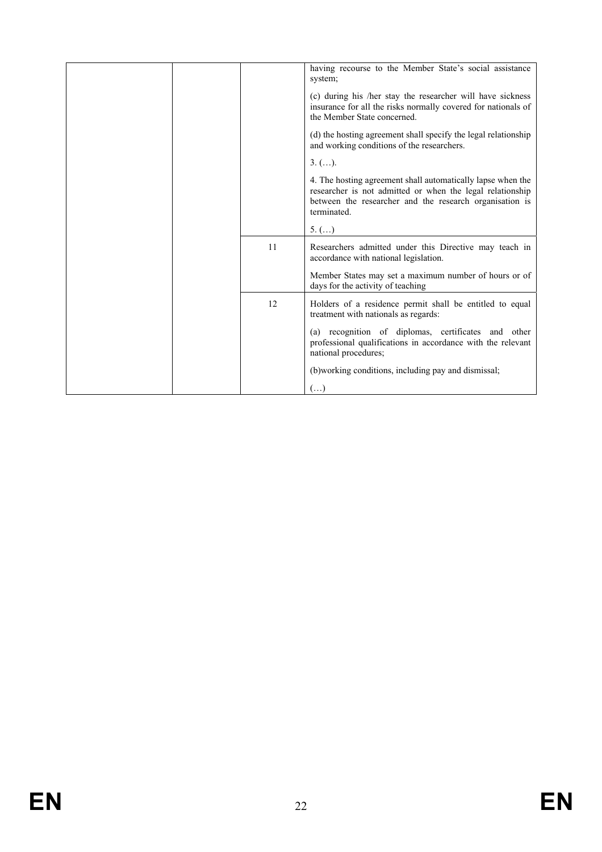|    | having recourse to the Member State's social assistance<br>system;                                                                                                                                 |
|----|----------------------------------------------------------------------------------------------------------------------------------------------------------------------------------------------------|
|    | (c) during his /her stay the researcher will have sickness<br>insurance for all the risks normally covered for nationals of<br>the Member State concerned.                                         |
|    | (d) the hosting agreement shall specify the legal relationship<br>and working conditions of the researchers.                                                                                       |
|    | $3. ()$ .                                                                                                                                                                                          |
|    | 4. The hosting agreement shall automatically lapse when the<br>researcher is not admitted or when the legal relationship<br>between the researcher and the research organisation is<br>terminated. |
|    | $5.$ ()                                                                                                                                                                                            |
| 11 | Researchers admitted under this Directive may teach in<br>accordance with national legislation.                                                                                                    |
|    | Member States may set a maximum number of hours or of<br>days for the activity of teaching                                                                                                         |
| 12 | Holders of a residence permit shall be entitled to equal<br>treatment with nationals as regards:                                                                                                   |
|    | (a) recognition of diplomas, certificates and other<br>professional qualifications in accordance with the relevant<br>national procedures;                                                         |
|    | (b) working conditions, including pay and dismissal;                                                                                                                                               |
|    | $(\ldots)$                                                                                                                                                                                         |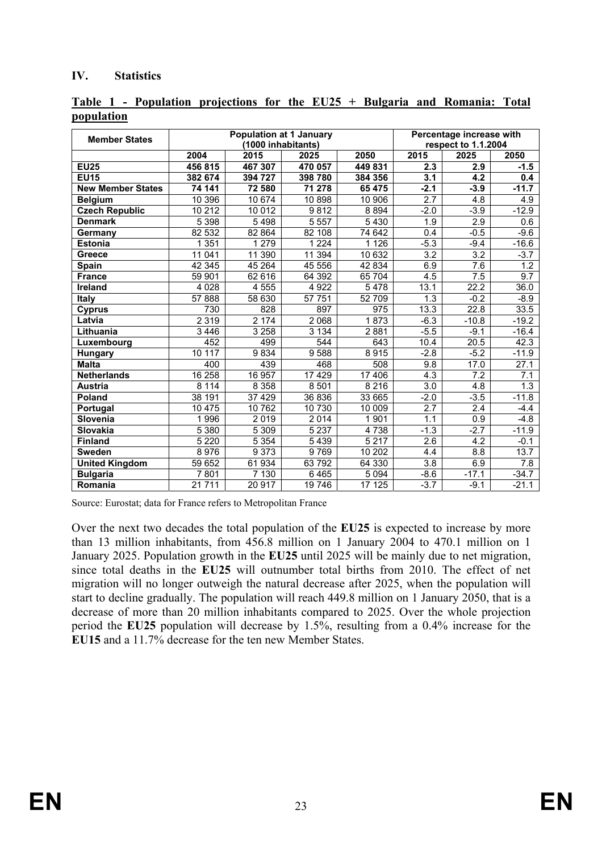#### **IV. Statistics**

| <b>Member States</b>     |         | Population at 1 January<br>(1000 inhabitants) | Percentage increase with<br>respect to 1.1.2004 |         |                    |                  |                  |
|--------------------------|---------|-----------------------------------------------|-------------------------------------------------|---------|--------------------|------------------|------------------|
|                          | 2004    | 2015                                          | 2025                                            | 2050    | $\overline{20}$ 15 | 2025             | 2050             |
| <b>EU25</b>              | 456 815 | 467 307                                       | 470 057                                         | 449 831 | 2.3                | 2.9              | $-1.5$           |
| <b>EU15</b>              | 382 674 | 394 727                                       | 398 780                                         | 384 356 | 3.1                | 4.2              | 0.4              |
| <b>New Member States</b> | 74 141  | 72 580                                        | 71 278                                          | 65 475  | $-2.1$             | $-3.9$           | $-11.7$          |
| <b>Belgium</b>           | 10 396  | 10 674                                        | 10898                                           | 10 906  | $\overline{2.7}$   | 4.8              | 4.9              |
| <b>Czech Republic</b>    | 10 212  | 10 012                                        | 9812                                            | 8894    | $-2.0$             | $-3.9$           | $-12.9$          |
| <b>Denmark</b>           | 5 3 9 8 | 5498                                          | 5 5 5 7                                         | 5 4 3 0 | 1.9                | 2.9              | 0.6              |
| Germany                  | 82 532  | 82 864                                        | 82 108                                          | 74 642  | 0.4                | $-0.5$           | $-9.6$           |
| <b>Estonia</b>           | 1 3 5 1 | 1 2 7 9                                       | 1 2 2 4                                         | 1 1 2 6 | $-5.3$             | $-9.4$           | $-16.6$          |
| <b>Greece</b>            | 11 041  | 11 390                                        | 11 394                                          | 10 632  | $\overline{3.2}$   | $\overline{3.2}$ | $-3.7$           |
| Spain                    | 42 345  | 45 264                                        | 45 556                                          | 42 834  | 6.9                | 7.6              | $1.\overline{2}$ |
| <b>France</b>            | 59 901  | 62 616                                        | 64 392                                          | 65 704  | 4.5                | 7.5              | 9.7              |
| <b>Ireland</b>           | 4 0 28  | 4 5 5 5                                       | 4 9 2 2                                         | 5478    | 13.1               | 22.2             | 36.0             |
| Italy                    | 57 888  | 58 630                                        | 57 751                                          | 52 709  | 1.3                | $-0.2$           | $-8.9$           |
| <b>Cyprus</b>            | 730     | 828                                           | 897                                             | 975     | 13.3               | 22.8             | 33.5             |
| Latvia                   | 2 3 1 9 | 2174                                          | 2 0 6 8                                         | 1873    | $-6.3$             | $-10.8$          | $-19.2$          |
| Lithuania                | 3 4 4 6 | 3 2 5 8                                       | 3 1 3 4                                         | 2881    | $-5.5$             | $-9.1$           | $-16.4$          |
| Luxembourg               | 452     | 499                                           | 544                                             | 643     | 10.4               | 20.5             | 42.3             |
| <b>Hungary</b>           | 10 117  | 9834                                          | 9588                                            | 8915    | $-2.8$             | $-5.2$           | $-11.9$          |
| <b>Malta</b>             | 400     | 439                                           | 468                                             | 508     | 9.8                | 17.0             | 27.1             |
| <b>Netherlands</b>       | 16 258  | 16 957                                        | 17 429                                          | 17 406  | 4.3                | $\overline{7.2}$ | 7.1              |
| <b>Austria</b>           | 8114    | 8 3 5 8                                       | 8 5 0 1                                         | 8216    | 3.0                | 4.8              | 1.3              |
| Poland                   | 38 191  | 37 4 29                                       | 36 836                                          | 33 665  | $-2.0$             | $-3.5$           | $-11.8$          |
| Portugal                 | 10 475  | 10 762                                        | 10 730                                          | 10 009  | $\overline{2.7}$   | $\overline{2.4}$ | $-4.4$           |
| Slovenia                 | 1996    | 2019                                          | 2014                                            | 1 901   | 1.1                | 0.9              | $-4.8$           |
| Slovakia                 | 5 3 8 0 | 5 3 0 9                                       | 5 2 3 7                                         | 4738    | $-1.3$             | $-2.7$           | $-11.9$          |
| <b>Finland</b>           | 5 2 2 0 | 5 3 5 4                                       | 5 4 3 9                                         | 5 2 1 7 | 2.6                | 4.2              | $-0.1$           |
| <b>Sweden</b>            | 8976    | 9373                                          | 9769                                            | 10 20 2 | 4.4                | 8.8              | 13.7             |
| <b>United Kingdom</b>    | 59 652  | 61 934                                        | 63792                                           | 64 330  | $\overline{3.8}$   | 6.9              | 7.8              |
| <b>Bulgaria</b>          | 7801    | 7 130                                         | 6 4 6 5                                         | 5 0 9 4 | $-8.6$             | $-17.1$          | $-34.7$          |
| Romania                  | 21 7 11 | 20 917                                        | 19746                                           | 17 125  | $-3.7$             | $-9.1$           | $-21.1$          |

**Table 1 - Population projections for the EU25 + Bulgaria and Romania: Total population**

Source: Eurostat; data for France refers to Metropolitan France

Over the next two decades the total population of the **EU25** is expected to increase by more than 13 million inhabitants, from 456.8 million on 1 January 2004 to 470.1 million on 1 January 2025. Population growth in the **EU25** until 2025 will be mainly due to net migration, since total deaths in the **EU25** will outnumber total births from 2010. The effect of net migration will no longer outweigh the natural decrease after 2025, when the population will start to decline gradually. The population will reach 449.8 million on 1 January 2050, that is a decrease of more than 20 million inhabitants compared to 2025. Over the whole projection period the **EU25** population will decrease by 1.5%, resulting from a 0.4% increase for the **EU15** and a 11.7% decrease for the ten new Member States.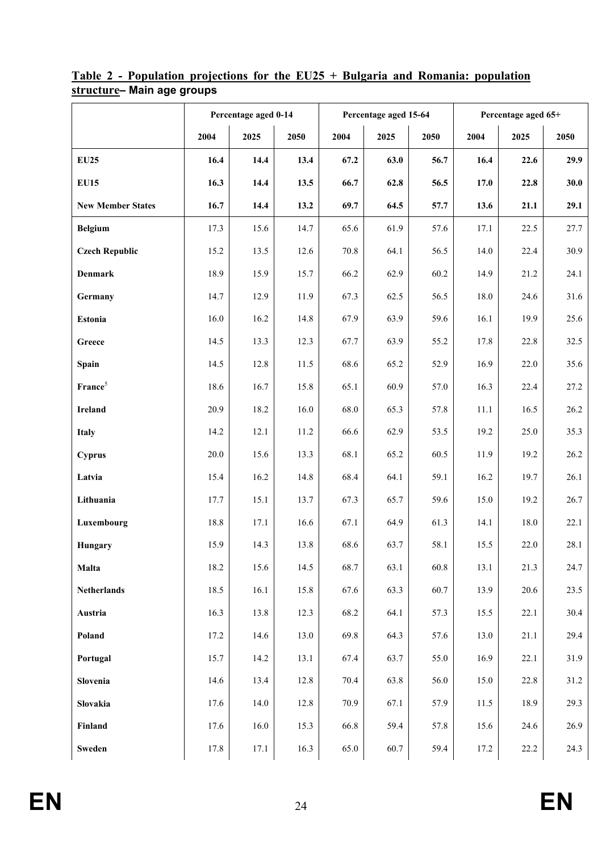|                          |      | Percentage aged 0-14 |      |      | Percentage aged 15-64 |      | Percentage aged 65+ |      |      |  |
|--------------------------|------|----------------------|------|------|-----------------------|------|---------------------|------|------|--|
|                          | 2004 | 2025                 | 2050 | 2004 | 2025                  | 2050 | 2004                | 2025 | 2050 |  |
| <b>EU25</b>              | 16.4 | 14.4                 | 13.4 | 67.2 | 63.0                  | 56.7 | 16.4                | 22.6 | 29.9 |  |
| <b>EU15</b>              | 16.3 | 14.4                 | 13.5 | 66.7 | 62.8                  | 56.5 | 17.0                | 22.8 | 30.0 |  |
| <b>New Member States</b> | 16.7 | 14.4                 | 13.2 | 69.7 | 64.5                  | 57.7 | 13.6                | 21.1 | 29.1 |  |
| <b>Belgium</b>           | 17.3 | 15.6                 | 14.7 | 65.6 | 61.9                  | 57.6 | 17.1                | 22.5 | 27.7 |  |
| <b>Czech Republic</b>    | 15.2 | 13.5                 | 12.6 | 70.8 | 64.1                  | 56.5 | 14.0                | 22.4 | 30.9 |  |
| <b>Denmark</b>           | 18.9 | 15.9                 | 15.7 | 66.2 | 62.9                  | 60.2 | 14.9                | 21.2 | 24.1 |  |
| Germany                  | 14.7 | 12.9                 | 11.9 | 67.3 | 62.5                  | 56.5 | 18.0                | 24.6 | 31.6 |  |
| <b>Estonia</b>           | 16.0 | 16.2                 | 14.8 | 67.9 | 63.9                  | 59.6 | 16.1                | 19.9 | 25.6 |  |
| Greece                   | 14.5 | 13.3                 | 12.3 | 67.7 | 63.9                  | 55.2 | 17.8                | 22.8 | 32.5 |  |
| Spain                    | 14.5 | 12.8                 | 11.5 | 68.6 | 65.2                  | 52.9 | 16.9                | 22.0 | 35.6 |  |
| France <sup>5</sup>      | 18.6 | 16.7                 | 15.8 | 65.1 | 60.9                  | 57.0 | 16.3                | 22.4 | 27.2 |  |
| <b>Ireland</b>           | 20.9 | 18.2                 | 16.0 | 68.0 | 65.3                  | 57.8 | 11.1                | 16.5 | 26.2 |  |
| <b>Italy</b>             | 14.2 | 12.1                 | 11.2 | 66.6 | 62.9                  | 53.5 | 19.2                | 25.0 | 35.3 |  |
| Cyprus                   | 20.0 | 15.6                 | 13.3 | 68.1 | 65.2                  | 60.5 | 11.9                | 19.2 | 26.2 |  |
| Latvia                   | 15.4 | 16.2                 | 14.8 | 68.4 | 64.1                  | 59.1 | 16.2                | 19.7 | 26.1 |  |
| Lithuania                | 17.7 | 15.1                 | 13.7 | 67.3 | 65.7                  | 59.6 | 15.0                | 19.2 | 26.7 |  |
| Luxembourg               | 18.8 | 17.1                 | 16.6 | 67.1 | 64.9                  | 61.3 | 14.1                | 18.0 | 22.1 |  |
| Hungary                  | 15.9 | 14.3                 | 13.8 | 68.6 | 63.7                  | 58.1 | 15.5                | 22.0 | 28.1 |  |
| Malta                    | 18.2 | 15.6                 | 14.5 | 68.7 | 63.1                  | 60.8 | 13.1                | 21.3 | 24.7 |  |
| Netherlands              | 18.5 | 16.1                 | 15.8 | 67.6 | 63.3                  | 60.7 | 13.9                | 20.6 | 23.5 |  |
| Austria                  | 16.3 | 13.8                 | 12.3 | 68.2 | 64.1                  | 57.3 | 15.5                | 22.1 | 30.4 |  |
| Poland                   | 17.2 | 14.6                 | 13.0 | 69.8 | 64.3                  | 57.6 | 13.0                | 21.1 | 29.4 |  |
| Portugal                 | 15.7 | 14.2                 | 13.1 | 67.4 | 63.7                  | 55.0 | 16.9                | 22.1 | 31.9 |  |
| Slovenia                 | 14.6 | 13.4                 | 12.8 | 70.4 | 63.8                  | 56.0 | 15.0                | 22.8 | 31.2 |  |
| Slovakia                 | 17.6 | 14.0                 | 12.8 | 70.9 | 67.1                  | 57.9 | 11.5                | 18.9 | 29.3 |  |
| Finland                  | 17.6 | 16.0                 | 15.3 | 66.8 | 59.4                  | 57.8 | 15.6                | 24.6 | 26.9 |  |
| Sweden                   | 17.8 | 17.1                 | 16.3 | 65.0 | 60.7                  | 59.4 | 17.2                | 22.2 | 24.3 |  |

**Table 2 - Population projections for the EU25 + Bulgaria and Romania: population structure– Main age groups**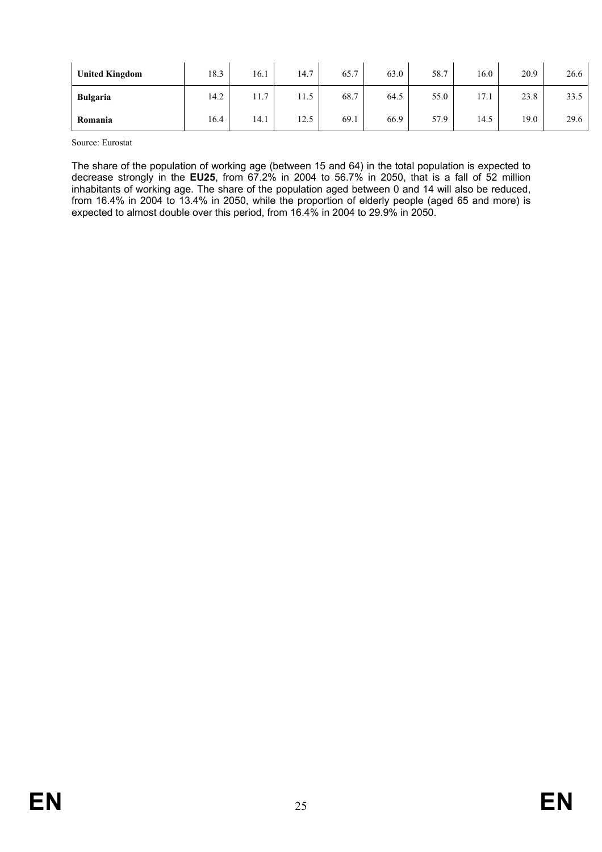| <b>United Kingdom</b> | 18.3 | 16.1 | 14.7 | 65.7 | 63.0 | 58.7 | 16.0 | 20.9 | 26.6 |
|-----------------------|------|------|------|------|------|------|------|------|------|
| <b>Bulgaria</b>       | 14.2 | 11.7 | 11.5 | 68.7 | 64.5 | 55.0 | 17.1 | 23.8 | 33.5 |
| Romania               | 16.4 | 14.1 | 12.5 | 69.1 | 66.9 | 57.9 | 14.5 | 19.0 | 29.6 |

Source: Eurostat

The share of the population of working age (between 15 and 64) in the total population is expected to decrease strongly in the **EU25**, from 67.2% in 2004 to 56.7% in 2050, that is a fall of 52 million inhabitants of working age. The share of the population aged between 0 and 14 will also be reduced, from 16.4% in 2004 to 13.4% in 2050, while the proportion of elderly people (aged 65 and more) is expected to almost double over this period, from 16.4% in 2004 to 29.9% in 2050.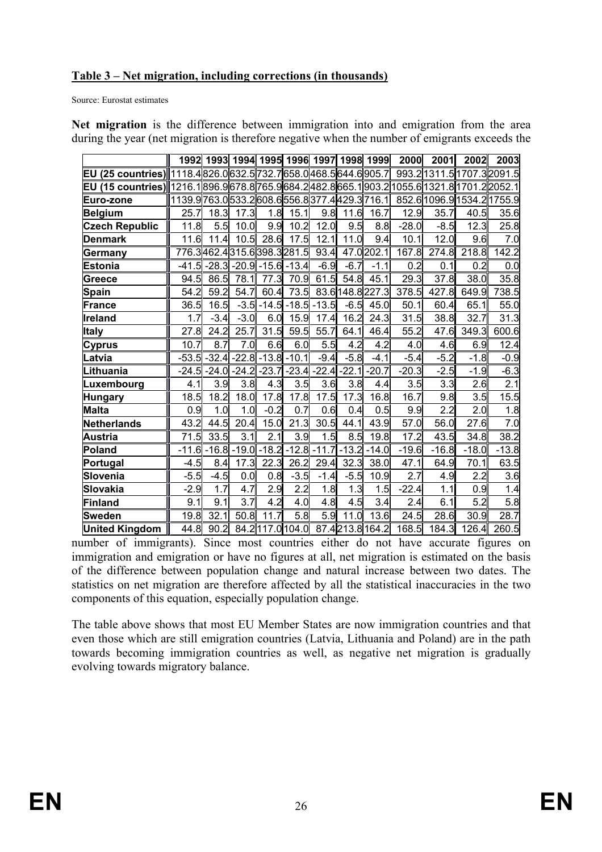### **Table 3 – Net migration, including corrections (in thousands)**

Source: Eurostat estimates

|                                                                                                      |                                                         |         |         |         | 1992   1993   1994   1995   1996   1997   1998   1999 |         |                  |                  | 2000    | 2001    | 2002                       | 2003    |
|------------------------------------------------------------------------------------------------------|---------------------------------------------------------|---------|---------|---------|-------------------------------------------------------|---------|------------------|------------------|---------|---------|----------------------------|---------|
| EU (25 countries)∥1118.4∣826.0∣632.5∣732.7∣658.0∣468.5∣644.6∣905.7∣                                  |                                                         |         |         |         |                                                       |         |                  |                  |         |         | 993.2 1311.5 1707.3 2091.5 |         |
| EU (15 countries)⊪1216.1 896.9 678.8  765.9 684.2  482.8  665.1  903.2 1055.6 1321.8  1701.2  2052.1 |                                                         |         |         |         |                                                       |         |                  |                  |         |         |                            |         |
| Euro-zone                                                                                            | 1139.9  763.0  533.2  608.6  556.8  377.4  429.3  716.1 |         |         |         |                                                       |         |                  |                  |         |         | 852.6 1096.9 1534.2 1755.9 |         |
| <b>Belgium</b>                                                                                       | 25.7                                                    | 18.3    | 17.3    | 1.8     | 15.1                                                  | 9.8     | 11.6             | 16.7             | 12.9    | 35.7    | 40.5                       | 35.6    |
| <b>Czech Republic</b>                                                                                | 11.8                                                    | 5.5     | 10.0    | 9.9     | 10.2                                                  | 12.0    | 9.5              | 8.8              | $-28.0$ | $-8.5$  | 12.3                       | 25.8    |
| <b>Denmark</b>                                                                                       | 11.6                                                    | 11.4    | 10.5    |         | 28.6 17.5                                             | 12.1    | 11.0             | 9.4              | 10.1    | 12.0    | 9.6                        | 7.0     |
| Germany                                                                                              |                                                         |         |         |         | 776.3462.4315.6398.3281.5                             | 93.4    |                  | 47.0 202.1       | 167.8   | 274.8   | 218.8                      | 142.2   |
| <b>Estonia</b>                                                                                       | $-41.5$                                                 | $-28.3$ | $-20.9$ |         | $-15.6 - 13.4$                                        | $-6.9$  | $-6.7$           | $-1.1$           | 0.2     | 0.1     | 0.2                        | 0.0     |
| Greece                                                                                               | 94.5                                                    | 86.5    | 78.1    |         | 77.3 70.9                                             | 61.5    | 54.8             | 45.1             | 29.3    | 37.8    | 38.0                       | 35.8    |
| <b>Spain</b>                                                                                         | 54.2                                                    | 59.2    | 54.7    | 60.4    | 73.5                                                  |         |                  | 83.6 148.8 227.3 | 378.5   | 427.8   | 649.9                      | 738.5   |
| <b>France</b>                                                                                        | 36.5                                                    | 16.5    | $-3.5$  |         | $-14.5 - 18.5$                                        | $-13.5$ | $-6.5$           | 45.0             | 50.1    | 60.4    | 65.1                       | 55.0    |
| <b>Ireland</b>                                                                                       | 1.7                                                     | $-3.4$  | $-3.0$  | 6.0     | 15.9                                                  | 17.4    | 16.2             | 24.3             | 31.5    | 38.8    | 32.7                       | 31.3    |
| <b>Italy</b>                                                                                         | 27.8                                                    | 24.2    | 25.7    | 31.5    | 59.5                                                  | 55.7    | 64.1             | 46.4             | 55.2    | 47.6    | 349.3                      | 600.6   |
| Cyprus                                                                                               | 10.7                                                    | 8.7     | 7.0     | 6.6     | 6.0                                                   | 5.5     | 4.2              | 4.2              | 4.0     | 4.6     | 6.9                        | 12.4    |
| Latvia                                                                                               | $-53.5$                                                 | $-32.4$ | $-22.8$ | $-13.8$ | $-10.1$                                               | $-9.4$  | $-5.8$           | $-4.1$           | $-5.4$  | $-5.2$  | $-1.8$                     | $-0.9$  |
| Lithuania                                                                                            | $-24.5$                                                 | $-24.0$ | $-24.2$ | $-23.7$ | $-23.4$                                               | $-22.4$ | $-22.1$          | $-20.7$          | $-20.3$ | $-2.5$  | $-1.9$                     | $-6.3$  |
| Luxembourg                                                                                           | 4.1                                                     | 3.9     | 3.8     | 4.3     | 3.5                                                   | 3.6     | 3.8              | 4.4              | 3.5     | 3.3     | 2.6                        | 2.1     |
| <b>Hungary</b>                                                                                       | 18.5                                                    | 18.2    | 18.0    | 17.8    | 17.8                                                  | 17.5    | 17.3             | 16.8             | 16.7    | 9.8     | 3.5                        | 15.5    |
| <b>Malta</b>                                                                                         | 0.9                                                     | 1.0     | 1.0     | $-0.2$  | 0.7                                                   | 0.6     | 0.4              | 0.5              | 9.9     | 2.2     | 2.0                        | 1.8     |
| Netherlands                                                                                          | 43.2                                                    | 44.5    | 20.4    | 15.0    | 21.3                                                  | 30.5    | 44.1             | 43.9             | 57.0    | 56.0    | 27.6                       | 7.0     |
| Austria                                                                                              | 71.5                                                    | 33.5    | 3.1     | 2.1     | 3.9                                                   | 1.5     | 8.5              | 19.8             | 17.2    | 43.5    | 34.8                       | 38.2    |
| <b>Poland</b>                                                                                        | $-11.6$                                                 | $-16.8$ | $-19.0$ | $-18.2$ | $-12.8$                                               | $-11.7$ | $-13.2$          | $-14.0$          | $-19.6$ | $-16.8$ | $-18.0$                    | $-13.8$ |
| Portugal                                                                                             | $-4.5$                                                  | 8.4     | 17.3    | 22.3    | 26.2                                                  | 29.4    | 32.3             | 38.0             | 47.1    | 64.9    | 70.1                       | 63.5    |
| Slovenia                                                                                             | $-5.5$                                                  | $-4.5$  | 0.0     | 0.8     | $-3.5$                                                | $-1.4$  | $-5.5$           | 10.9             | 2.7     | 4.9     | 2.2                        | 3.6     |
| <b>Slovakia</b>                                                                                      | $-2.9$                                                  | 1.7     | 4.7     | 2.9     | 2.2                                                   | 1.8     | $1.\overline{3}$ | 1.5              | $-22.4$ | 1.1     | 0.9                        | 1.4     |
| <b>Finland</b>                                                                                       | 9.1                                                     | 9.1     | 3.7     | 4.2     | 4.0                                                   | 4.8     | 4.5              | 3.4              | 2.4     | 6.1     | 5.2                        | 5.8     |
| <b>Sweden</b>                                                                                        | 19.8                                                    | 32.1    | 50.8    | 11.7    | 5.8                                                   | 5.9     | 11.0             | 13.6             | 24.5    | 28.6    | 30.9                       | 28.7    |
| <b>United Kingdom</b>                                                                                | 44.8                                                    | 90.2    |         |         | 84.2117.0104.0 87.4 213.8 164.2                       |         |                  |                  | 168.5   | 184.3   | 126.4                      | 260.5   |

**Net migration** is the difference between immigration into and emigration from the area during the year (net migration is therefore negative when the number of emigrants exceeds the

number of immigrants). Since most countries either do not have accurate figures on immigration and emigration or have no figures at all, net migration is estimated on the basis of the difference between population change and natural increase between two dates. The statistics on net migration are therefore affected by all the statistical inaccuracies in the two components of this equation, especially population change.

The table above shows that most EU Member States are now immigration countries and that even those which are still emigration countries (Latvia, Lithuania and Poland) are in the path towards becoming immigration countries as well, as negative net migration is gradually evolving towards migratory balance.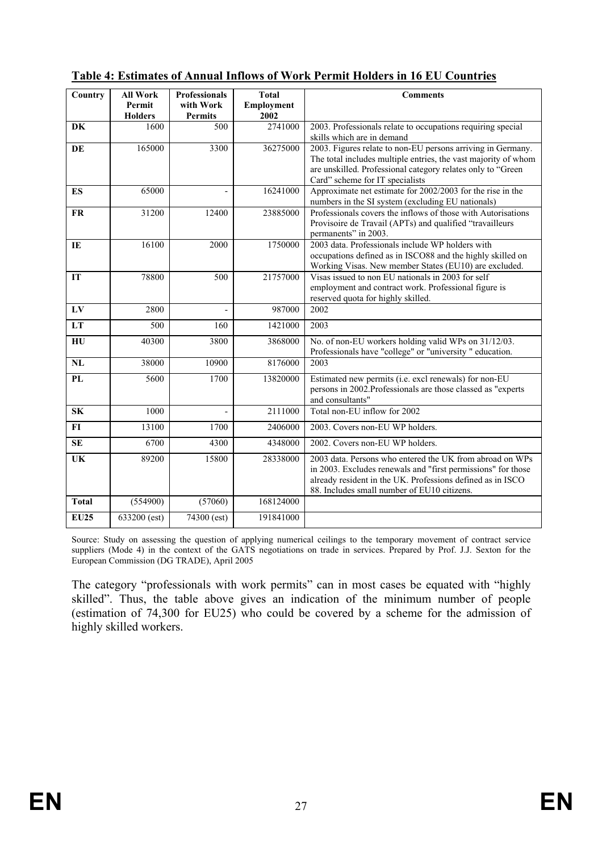| Country                  | <b>All Work</b><br>Permit<br><b>Holders</b> | <b>Professionals</b><br>with Work<br><b>Permits</b> | <b>Total</b><br>Employment<br>2002 | <b>Comments</b>                                                                                                                                                                                                                       |
|--------------------------|---------------------------------------------|-----------------------------------------------------|------------------------------------|---------------------------------------------------------------------------------------------------------------------------------------------------------------------------------------------------------------------------------------|
| DK                       | 1600                                        | 500                                                 | 2741000                            | 2003. Professionals relate to occupations requiring special<br>skills which are in demand                                                                                                                                             |
| <b>DE</b>                | 165000                                      | 3300                                                | 36275000                           | 2003. Figures relate to non-EU persons arriving in Germany.<br>The total includes multiple entries, the vast majority of whom<br>are unskilled. Professional category relates only to "Green<br>Card" scheme for IT specialists       |
| <b>ES</b>                | 65000                                       | $\overline{a}$                                      | 16241000                           | Approximate net estimate for 2002/2003 for the rise in the<br>numbers in the SI system (excluding EU nationals)                                                                                                                       |
| <b>FR</b>                | 31200                                       | 12400                                               | 23885000                           | Professionals covers the inflows of those with Autorisations<br>Provisoire de Travail (APTs) and qualified "travailleurs<br>permanents" in 2003.                                                                                      |
| IE                       | 16100                                       | 2000                                                | 1750000                            | 2003 data. Professionals include WP holders with<br>occupations defined as in ISCO88 and the highly skilled on<br>Working Visas. New member States (EU10) are excluded.                                                               |
| IT                       | 78800                                       | 500                                                 | 21757000                           | Visas issued to non EU nationals in 2003 for self<br>employment and contract work. Professional figure is<br>reserved quota for highly skilled.                                                                                       |
| ${\bf L}{\bf V}$         | 2800                                        | $\overline{a}$                                      | 987000                             | 2002                                                                                                                                                                                                                                  |
| LT                       | 500                                         | 160                                                 | 1421000                            | 2003                                                                                                                                                                                                                                  |
| HU                       | 40300                                       | 3800                                                | 3868000                            | No. of non-EU workers holding valid WPs on 31/12/03.<br>Professionals have "college" or "university " education.                                                                                                                      |
| NL                       | 38000                                       | 10900                                               | 8176000                            | 2003                                                                                                                                                                                                                                  |
| <b>PL</b>                | 5600                                        | 1700                                                | 13820000                           | Estimated new permits (i.e. excl renewals) for non-EU<br>persons in 2002. Professionals are those classed as "experts<br>and consultants"                                                                                             |
| <b>SK</b>                | 1000                                        | $\overline{a}$                                      | 2111000                            | Total non-EU inflow for 2002                                                                                                                                                                                                          |
| $FI$                     | 13100                                       | 1700                                                | 2406000                            | 2003. Covers non-EU WP holders.                                                                                                                                                                                                       |
| <b>SE</b>                | 6700                                        | 4300                                                | 4348000                            | 2002. Covers non-EU WP holders.                                                                                                                                                                                                       |
| $\overline{\mathbf{UK}}$ | 89200                                       | 15800                                               | 28338000                           | 2003 data. Persons who entered the UK from abroad on WPs<br>in 2003. Excludes renewals and "first permissions" for those<br>already resident in the UK. Professions defined as in ISCO<br>88. Includes small number of EU10 citizens. |
| <b>Total</b>             | (554900)                                    | (57060)                                             | 168124000                          |                                                                                                                                                                                                                                       |
| <b>EU25</b>              | 633200 (est)                                | 74300 (est)                                         | 191841000                          |                                                                                                                                                                                                                                       |

# **Table 4: Estimates of Annual Inflows of Work Permit Holders in 16 EU Countries**

Source: Study on assessing the question of applying numerical ceilings to the temporary movement of contract service suppliers (Mode 4) in the context of the GATS negotiations on trade in services. Prepared by Prof. J.J. Sexton for the European Commission (DG TRADE), April 2005

The category "professionals with work permits" can in most cases be equated with "highly skilled". Thus, the table above gives an indication of the minimum number of people (estimation of 74,300 for EU25) who could be covered by a scheme for the admission of highly skilled workers.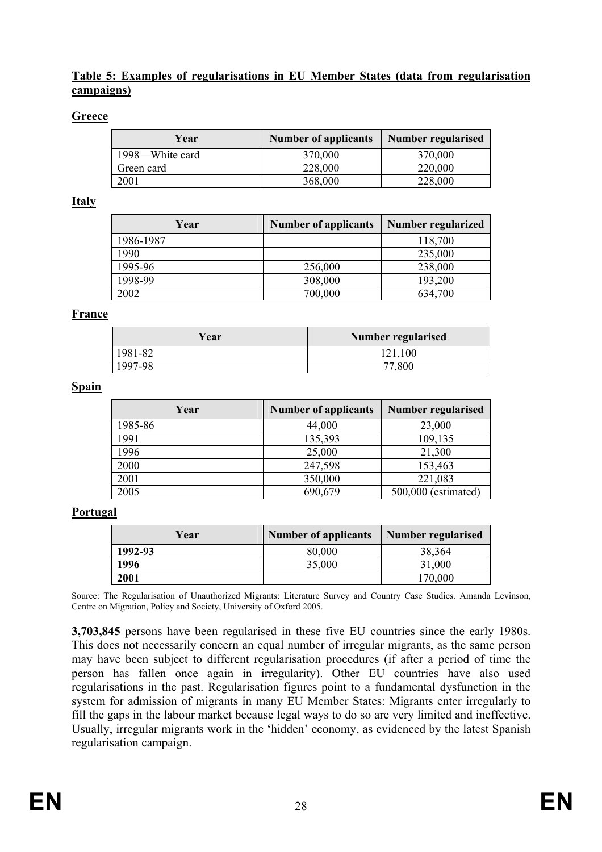#### **Table 5: Examples of regularisations in EU Member States (data from regularisation campaigns)**

#### **Greece**

| Year            | <b>Number of applicants</b> | Number regularised |
|-----------------|-----------------------------|--------------------|
| 1998—White card | 370,000                     | 370,000            |
| Green card      | 228,000                     | 220,000            |
| 2001            | 368,000                     | 228,000            |

#### **Italy**

| Year      | <b>Number of applicants</b> | <b>Number regularized</b> |
|-----------|-----------------------------|---------------------------|
| 1986-1987 |                             | 118,700                   |
| 1990      |                             | 235,000                   |
| 1995-96   | 256,000                     | 238,000                   |
| 1998-99   | 308,000                     | 193,200                   |
| 2002      | 700,000                     | 634,700                   |

#### **France**

| Year    | Number regularised |
|---------|--------------------|
| 1981-82 | 121,100            |
| 1997-98 |                    |

#### **Spain**

| Year    | <b>Number of applicants</b> | <b>Number regularised</b> |
|---------|-----------------------------|---------------------------|
| 1985-86 | 44,000                      | 23,000                    |
| 1991    | 135,393                     | 109,135                   |
| 1996    | 25,000                      | 21,300                    |
| 2000    | 247,598                     | 153,463                   |
| 2001    | 350,000                     | 221,083                   |
| 2005    | 690,679                     | 500,000 (estimated)       |

#### **Portugal**

| Year    | <b>Number of applicants</b> | Number regularised |
|---------|-----------------------------|--------------------|
| 1992-93 | 80,000                      | 38,364             |
| 1996    | 35,000                      | 31,000             |
| 2001    |                             | 170,000            |

Source: The Regularisation of Unauthorized Migrants: Literature Survey and Country Case Studies. Amanda Levinson, Centre on Migration, Policy and Society, University of Oxford 2005.

**3,703,845** persons have been regularised in these five EU countries since the early 1980s. This does not necessarily concern an equal number of irregular migrants, as the same person may have been subject to different regularisation procedures (if after a period of time the person has fallen once again in irregularity). Other EU countries have also used regularisations in the past. Regularisation figures point to a fundamental dysfunction in the system for admission of migrants in many EU Member States: Migrants enter irregularly to fill the gaps in the labour market because legal ways to do so are very limited and ineffective. Usually, irregular migrants work in the 'hidden' economy, as evidenced by the latest Spanish regularisation campaign.